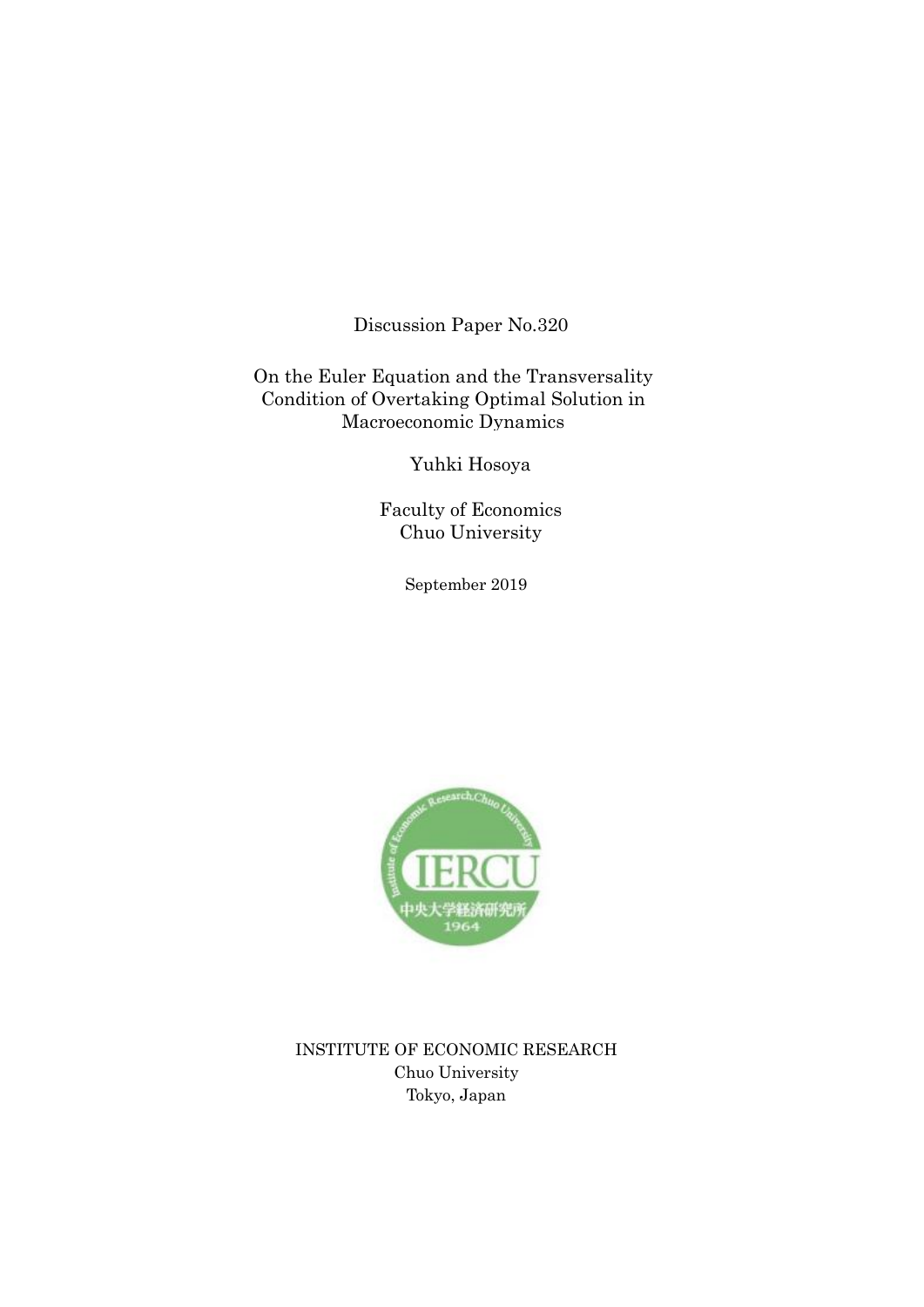Discussion Paper No.320

On the Euler Equation and the Transversality Condition of Overtaking Optimal Solution in Macroeconomic Dynamics

Yuhki Hosoya

Faculty of Economics Chuo University

September 2019



INSTITUTE OF ECONOMIC RESEARCH Chuo University Tokyo, Japan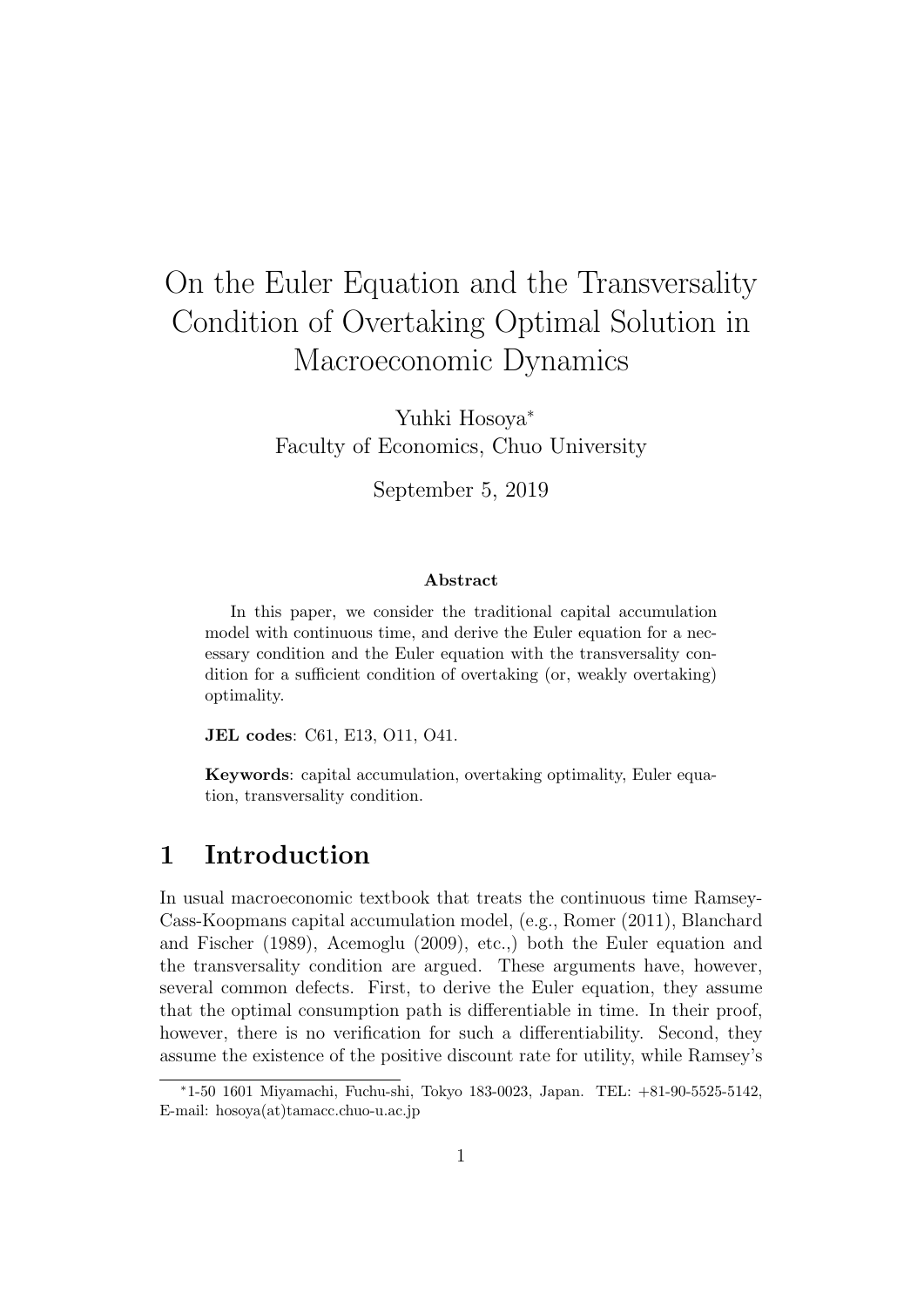# On the Euler Equation and the Transversality Condition of Overtaking Optimal Solution in Macroeconomic Dynamics

Yuhki Hosoya*<sup>∗</sup>* Faculty of Economics, Chuo University

September 5, 2019

#### **Abstract**

In this paper, we consider the traditional capital accumulation model with continuous time, and derive the Euler equation for a necessary condition and the Euler equation with the transversality condition for a sufficient condition of overtaking (or, weakly overtaking) optimality.

**JEL codes**: C61, E13, O11, O41.

**Keywords**: capital accumulation, overtaking optimality, Euler equation, transversality condition.

## **1 Introduction**

In usual macroeconomic textbook that treats the continuous time Ramsey-Cass-Koopmans capital accumulation model, (e.g., Romer (2011), Blanchard and Fischer (1989), Acemoglu (2009), etc.,) both the Euler equation and the transversality condition are argued. These arguments have, however, several common defects. First, to derive the Euler equation, they assume that the optimal consumption path is differentiable in time. In their proof, however, there is no verification for such a differentiability. Second, they assume the existence of the positive discount rate for utility, while Ramsey's

*<sup>∗</sup>*1-50 1601 Miyamachi, Fuchu-shi, Tokyo 183-0023, Japan. TEL: +81-90-5525-5142, E-mail: hosoya(at)tamacc.chuo-u.ac.jp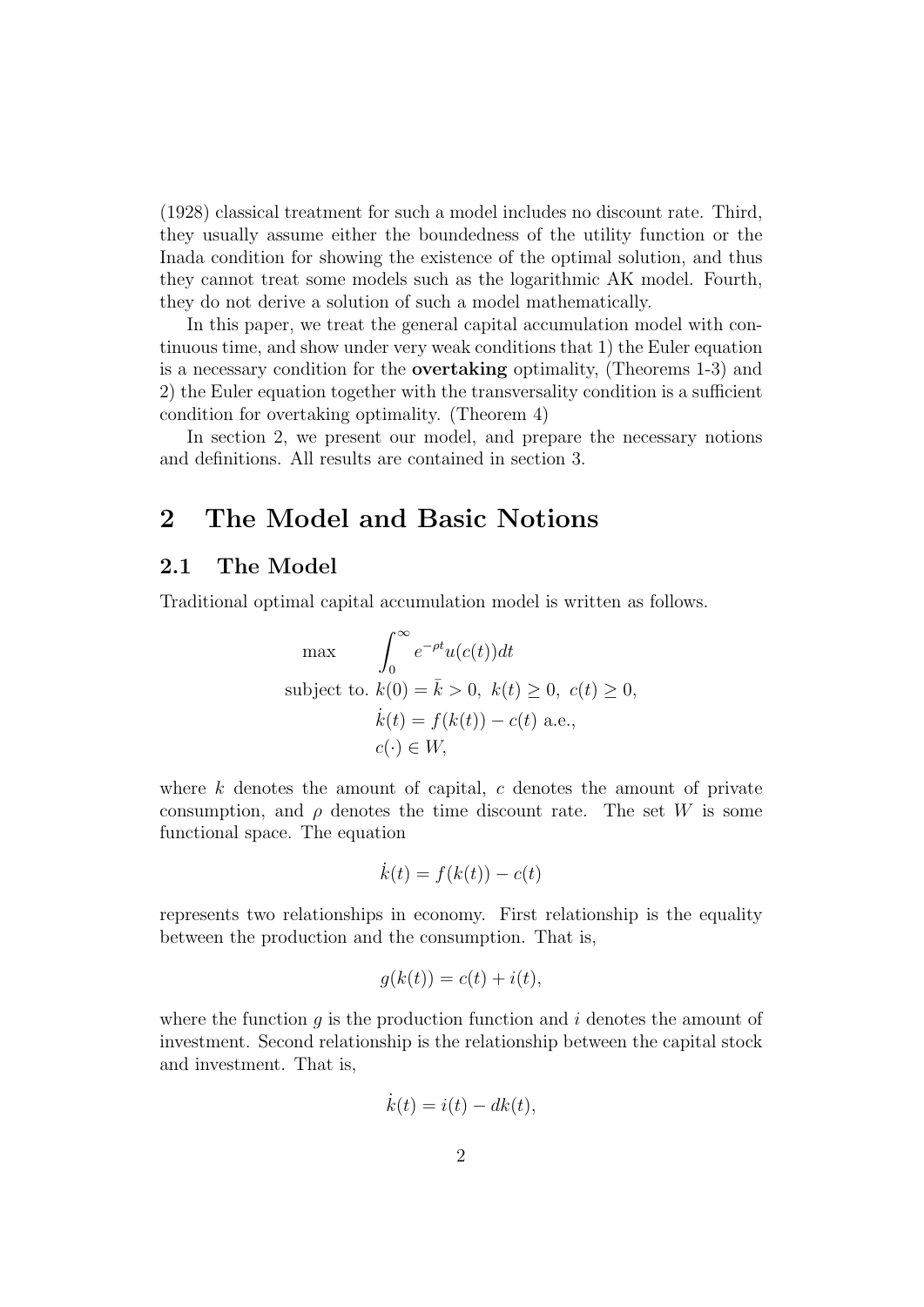(1928) classical treatment for such a model includes no discount rate. Third, they usually assume either the boundedness of the utility function or the Inada condition for showing the existence of the optimal solution, and thus they cannot treat some models such as the logarithmic AK model. Fourth, they do not derive a solution of such a model mathematically.

In this paper, we treat the general capital accumulation model with continuous time, and show under very weak conditions that 1) the Euler equation is a necessary condition for the **overtaking** optimality, (Theorems 1-3) and 2) the Euler equation together with the transversality condition is a sufficient condition for overtaking optimality. (Theorem 4)

In section 2, we present our model, and prepare the necessary notions and definitions. All results are contained in section 3.

## **2 The Model and Basic Notions**

#### **2.1 The Model**

Traditional optimal capital accumulation model is written as follows.

$$
\max \qquad \int_0^\infty e^{-\rho t} u(c(t)) dt
$$
\n
$$
\text{subject to. } k(0) = \bar{k} > 0, \ k(t) \ge 0, \ c(t) \ge 0,
$$
\n
$$
\dot{k}(t) = f(k(t)) - c(t) \text{ a.e.,}
$$
\n
$$
c(\cdot) \in W,
$$

where *k* denotes the amount of capital, *c* denotes the amount of private consumption, and  $\rho$  denotes the time discount rate. The set *W* is some functional space. The equation

$$
\dot{k}(t) = f(k(t)) - c(t)
$$

represents two relationships in economy. First relationship is the equality between the production and the consumption. That is,

$$
g(k(t)) = c(t) + i(t),
$$

where the function  $q$  is the production function and  $i$  denotes the amount of investment. Second relationship is the relationship between the capital stock and investment. That is,

$$
\dot{k}(t) = i(t) - dk(t),
$$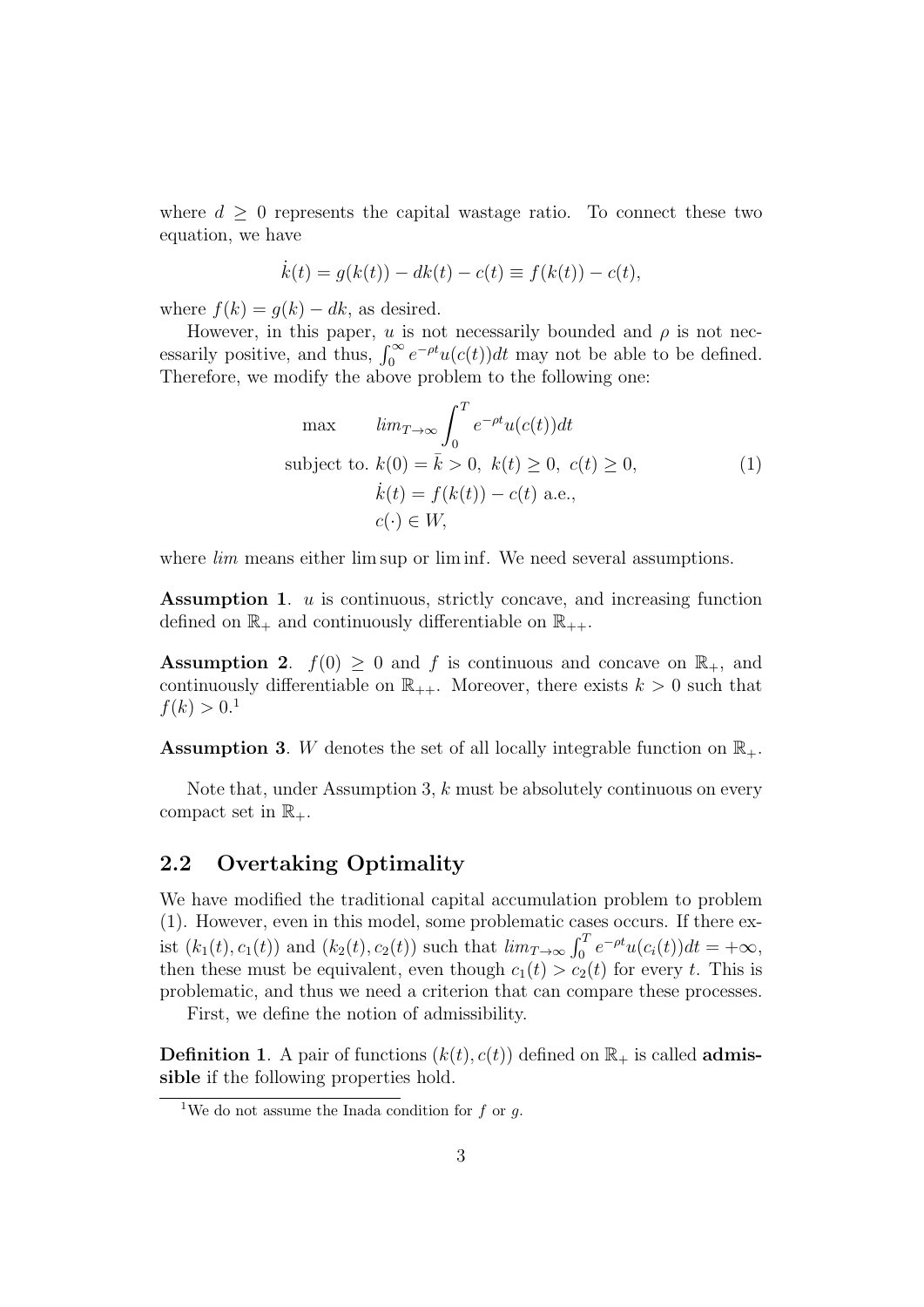where  $d \geq 0$  represents the capital wastage ratio. To connect these two equation, we have

$$
\dot{k}(t) = g(k(t)) - dk(t) - c(t) \equiv f(k(t)) - c(t),
$$

where  $f(k) = q(k) - dk$ , as desired.

However, in this paper, *u* is not necessarily bounded and  $\rho$  is not necessarily positive, and thus,  $\int_0^\infty e^{-\rho t} u(c(t)) dt$  may not be able to be defined. Therefore, we modify the above problem to the following one:

$$
\max \qquad \lim_{T \to \infty} \int_0^T e^{-\rho t} u(c(t)) dt
$$
\n
$$
\text{subject to. } k(0) = \bar{k} > 0, \ k(t) \ge 0, \ c(t) \ge 0,
$$
\n
$$
\dot{k}(t) = f(k(t)) - c(t) \text{ a.e.,}
$$
\n
$$
c(\cdot) \in W,
$$
\n
$$
(1)
$$

where *lim* means either lim sup or lim inf. We need several assumptions.

**Assumption 1**. *u* is continuous, strictly concave, and increasing function defined on  $\mathbb{R}_+$  and continuously differentiable on  $\mathbb{R}_{++}$ .

**Assumption 2.**  $f(0) \geq 0$  and *f* is continuous and concave on  $\mathbb{R}_+$ , and continuously differentiable on  $\mathbb{R}_{++}$ . Moreover, there exists  $k > 0$  such that  $f(k) > 0.1$ 

**Assumption 3.** *W* denotes the set of all locally integrable function on  $\mathbb{R}_+$ .

Note that, under Assumption 3, *k* must be absolutely continuous on every compact set in  $\mathbb{R}_+$ .

#### **2.2 Overtaking Optimality**

We have modified the traditional capital accumulation problem to problem (1). However, even in this model, some problematic cases occurs. If there exist  $(k_1(t), c_1(t))$  and  $(k_2(t), c_2(t))$  such that  $\lim_{T \to \infty} \int_0^T e^{-\rho t} u(c_i(t)) dt = +\infty$ , then these must be equivalent, even though  $c_1(t) > c_2(t)$  for every *t*. This is problematic, and thus we need a criterion that can compare these processes.

First, we define the notion of admissibility.

**Definition 1**. A pair of functions  $(k(t), c(t))$  defined on  $\mathbb{R}_+$  is called **admissible** if the following properties hold.

<sup>&</sup>lt;sup>1</sup>We do not assume the Inada condition for  $f$  or  $g$ .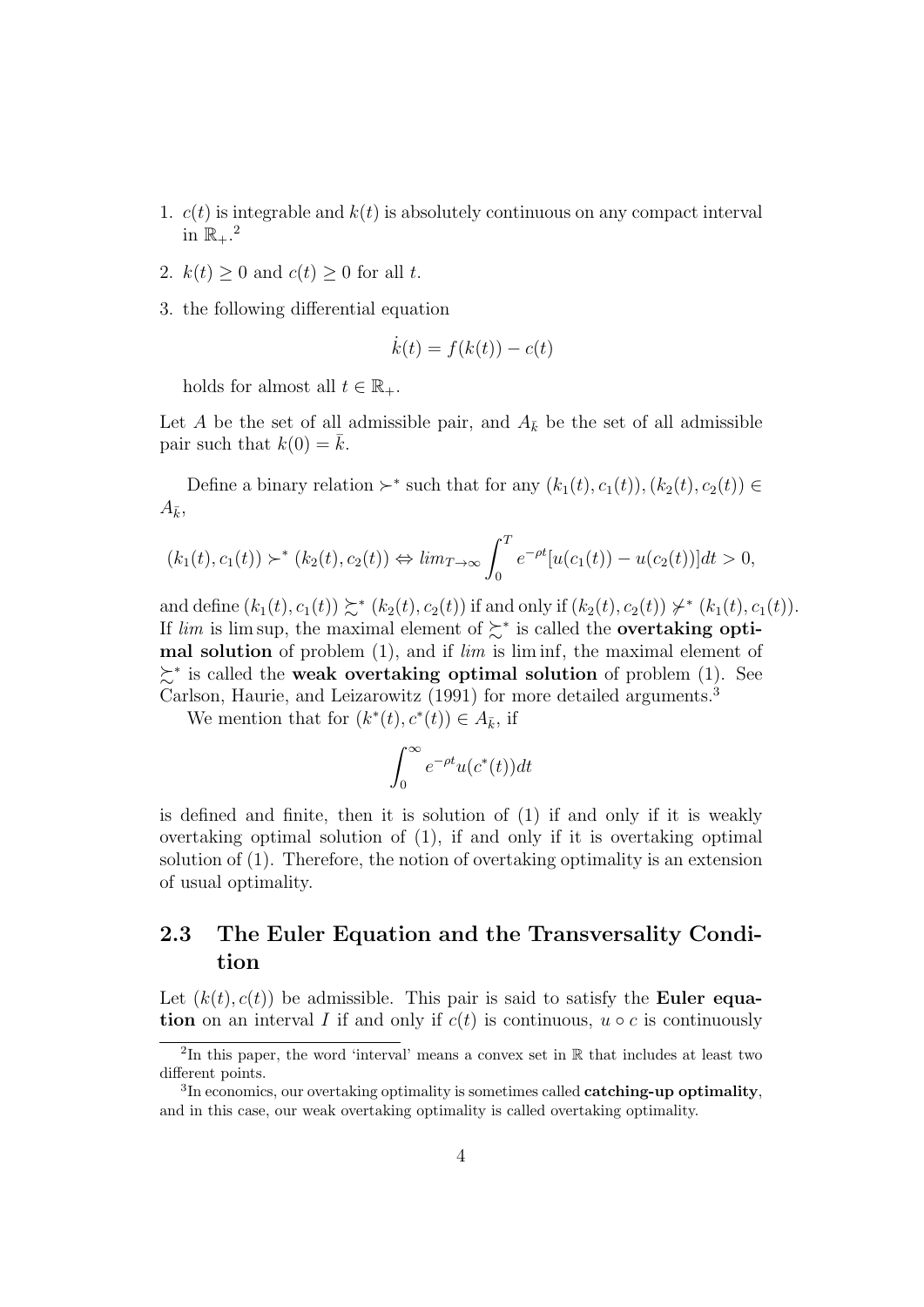- 1.  $c(t)$  is integrable and  $k(t)$  is absolutely continuous on any compact interval in  $\mathbb{R}_+$ .<sup>2</sup>
- 2.  $k(t) \geq 0$  and  $c(t) \geq 0$  for all *t*.
- 3. the following differential equation

$$
\dot{k}(t) = f(k(t)) - c(t)
$$

holds for almost all  $t \in \mathbb{R}_+$ .

Let *A* be the set of all admissible pair, and  $A_{\bar{k}}$  be the set of all admissible pair such that  $k(0) = k$ .

Define a binary relation  $\succ^*$  such that for any  $(k_1(t), c_1(t)), (k_2(t), c_2(t)) \in$  $A_{\bar{k}}$ 

$$
(k_1(t), c_1(t)) \succ^* (k_2(t), c_2(t)) \Leftrightarrow \lim_{T \to \infty} \int_0^T e^{-\rho t} [u(c_1(t)) - u(c_2(t))] dt > 0,
$$

and define  $(k_1(t), c_1(t)) \succsim^* (k_2(t), c_2(t))$  if and only if  $(k_2(t), c_2(t)) \not\downarrow^* (k_1(t), c_1(t)).$ If *lim* is lim sup, the maximal element of ≿*<sup>∗</sup>* is called the **overtaking optimal solution** of problem (1), and if *lim* is lim inf, the maximal element of ≿*∗* is called the **weak overtaking optimal solution** of problem (1). See Carlson, Haurie, and Leizarowitz (1991) for more detailed arguments.<sup>3</sup>

We mention that for  $(k^*(t), c^*(t)) \in A_{\bar{k}}$ , if

$$
\int_0^\infty e^{-\rho t} u(c^*(t)) dt
$$

is defined and finite, then it is solution of (1) if and only if it is weakly overtaking optimal solution of (1), if and only if it is overtaking optimal solution of (1). Therefore, the notion of overtaking optimality is an extension of usual optimality.

## **2.3 The Euler Equation and the Transversality Condition**

Let  $(k(t), c(t))$  be admissible. This pair is said to satisfy the **Euler equation** on an interval *I* if and only if  $c(t)$  is continuous,  $u \circ c$  is continuously

<sup>2</sup> In this paper, the word 'interval' means a convex set in R that includes at least two different points.

<sup>3</sup> In economics, our overtaking optimality is sometimes called **catching-up optimality**, and in this case, our weak overtaking optimality is called overtaking optimality.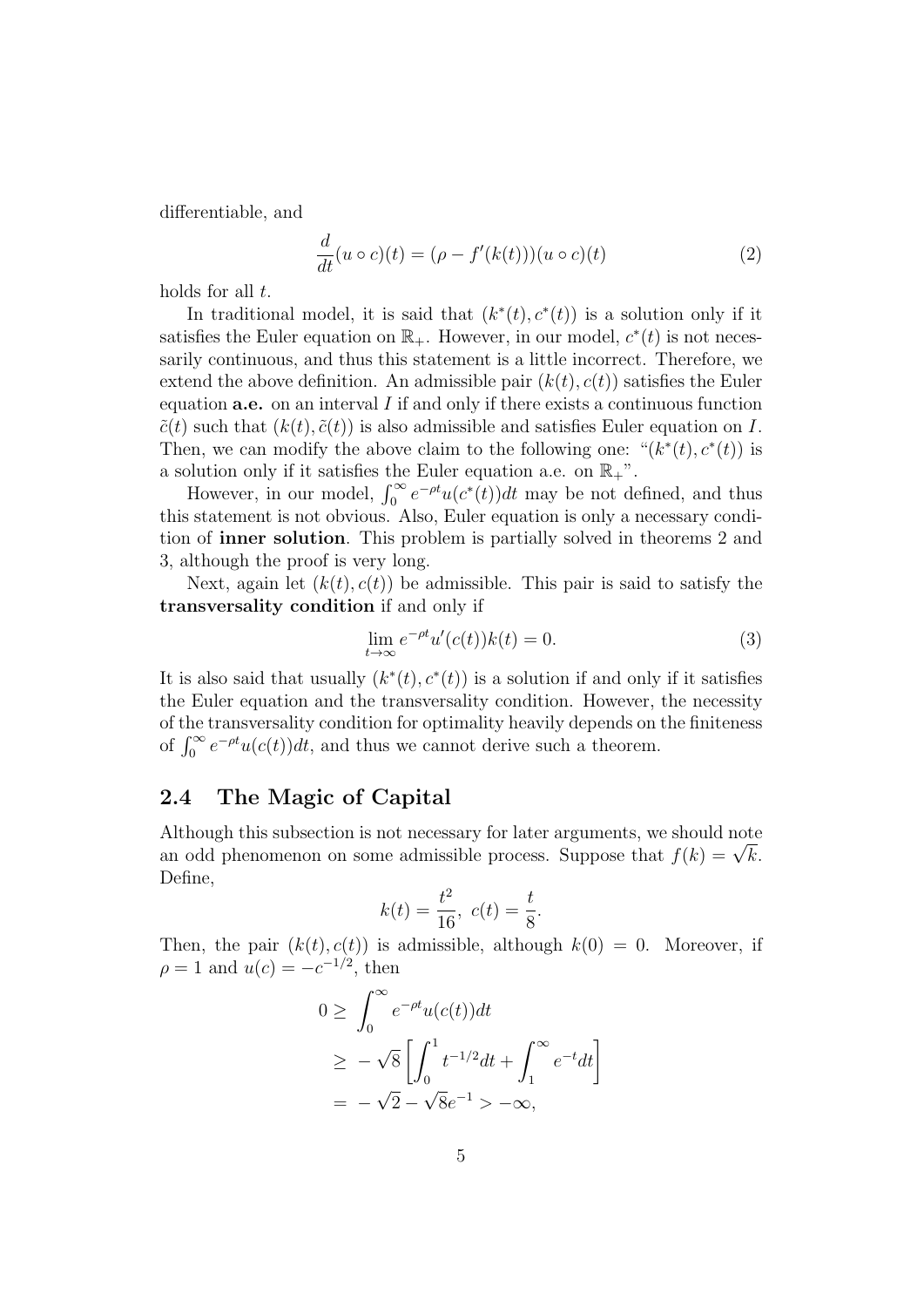differentiable, and

$$
\frac{d}{dt}(u \circ c)(t) = (\rho - f'(k(t)))(u \circ c)(t)
$$
\n(2)

holds for all *t*.

In traditional model, it is said that  $(k^*(t), c^*(t))$  is a solution only if it satisfies the Euler equation on  $\mathbb{R}_+$ . However, in our model,  $c^*(t)$  is not necessarily continuous, and thus this statement is a little incorrect. Therefore, we extend the above definition. An admissible pair  $(k(t), c(t))$  satisfies the Euler equation **a.e.** on an interval *I* if and only if there exists a continuous function  $\tilde{c}(t)$  such that  $(k(t), \tilde{c}(t))$  is also admissible and satisfies Euler equation on *I*. Then, we can modify the above claim to the following one: " $(k^*(t), c^*(t))$  is a solution only if it satisfies the Euler equation a.e. on  $\mathbb{R}_+$ ".

However, in our model,  $\int_0^\infty e^{-\rho t} u(c^*(t)) dt$  may be not defined, and thus this statement is not obvious. Also, Euler equation is only a necessary condition of **inner solution**. This problem is partially solved in theorems 2 and 3, although the proof is very long.

Next, again let  $(k(t), c(t))$  be admissible. This pair is said to satisfy the **transversality condition** if and only if

$$
\lim_{t \to \infty} e^{-\rho t} u'(c(t))k(t) = 0.
$$
\n(3)

It is also said that usually  $(k^*(t), c^*(t))$  is a solution if and only if it satisfies the Euler equation and the transversality condition. However, the necessity of the transversality condition for optimality heavily depends on the finiteness of  $\int_0^\infty e^{-\rho t} u(c(t)) dt$ , and thus we cannot derive such a theorem.

### **2.4 The Magic of Capital**

Although this subsection is not necessary for later arguments, we should note Although this subsection is not necessary for later arguments, we should note<br>an odd phenomenon on some admissible process. Suppose that  $f(k) = \sqrt{k}$ . Define,

$$
k(t) = \frac{t^2}{16}, \ c(t) = \frac{t}{8}.
$$

Then, the pair  $(k(t), c(t))$  is admissible, although  $k(0) = 0$ . Moreover, if  $\rho = 1$  and  $u(c) = -c^{-1/2}$ , then

$$
0 \geq \int_0^\infty e^{-\rho t} u(c(t)) dt
$$
  
\n
$$
\geq -\sqrt{8} \left[ \int_0^1 t^{-1/2} dt + \int_1^\infty e^{-t} dt \right]
$$
  
\n
$$
= -\sqrt{2} - \sqrt{8}e^{-1} > -\infty,
$$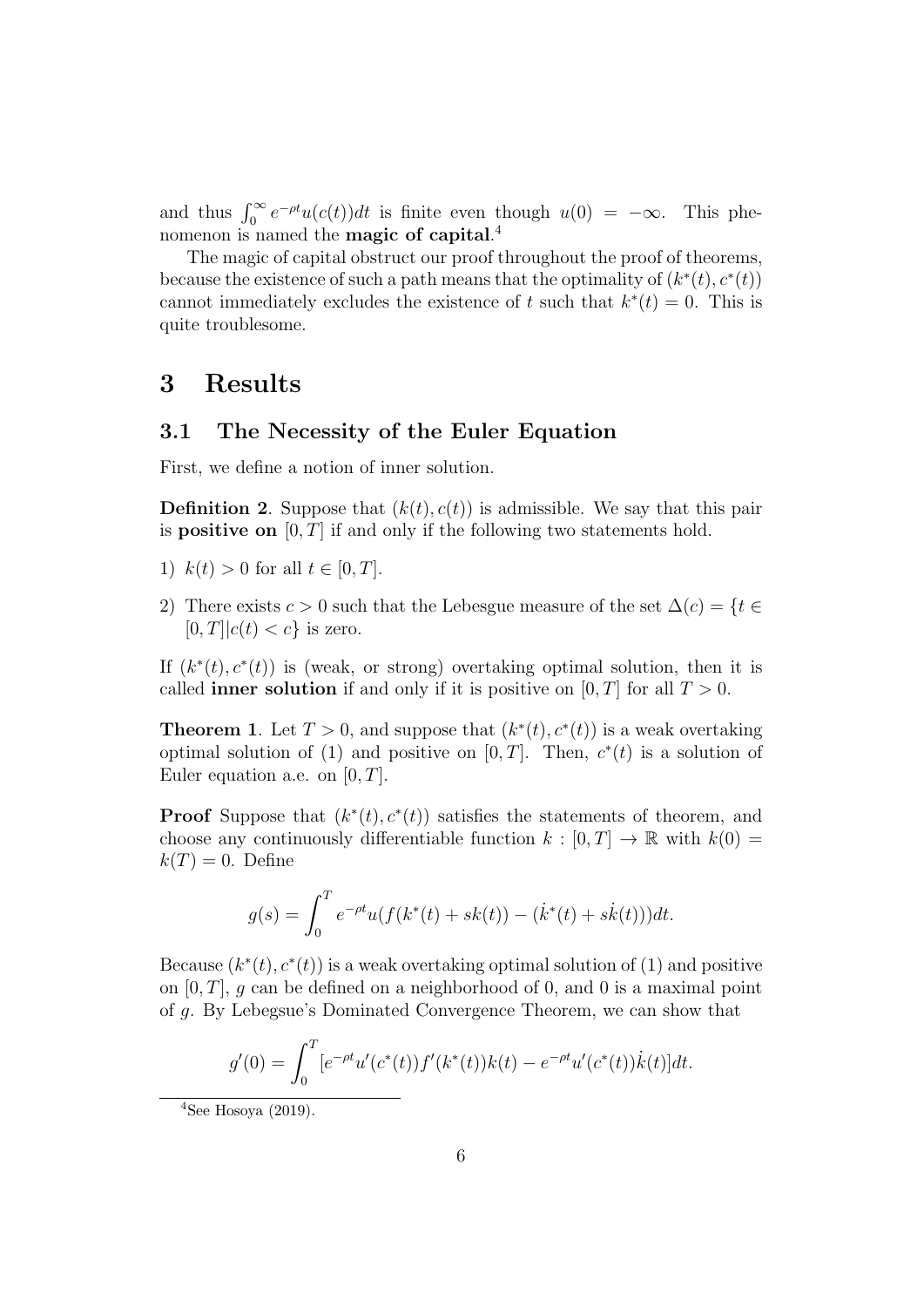and thus  $\int_0^\infty e^{-\rho t} u(c(t)) dt$  is finite even though  $u(0) = -\infty$ . This phenomenon is named the **magic of capital**. 4

The magic of capital obstruct our proof throughout the proof of theorems, because the existence of such a path means that the optimality of  $(k^*(t), c^*(t))$ cannot immediately excludes the existence of *t* such that  $k^*(t) = 0$ . This is quite troublesome.

## **3 Results**

## **3.1 The Necessity of the Euler Equation**

First, we define a notion of inner solution.

**Definition 2**. Suppose that  $(k(t), c(t))$  is admissible. We say that this pair is **positive on** [0*, T*] if and only if the following two statements hold.

- 1)  $k(t) > 0$  for all  $t \in [0, T]$ .
- 2) There exists  $c > 0$  such that the Lebesgue measure of the set  $\Delta(c) = \{t \in$  $[0, T]$  $|c(t)| < c$ } is zero.

If  $(k^*(t), c^*(t))$  is (weak, or strong) overtaking optimal solution, then it is called **inner solution** if and only if it is positive on  $[0, T]$  for all  $T > 0$ .

**Theorem 1**. Let  $T > 0$ , and suppose that  $(k^*(t), c^*(t))$  is a weak overtaking optimal solution of (1) and positive on  $[0, T]$ . Then,  $c^*(t)$  is a solution of Euler equation a.e. on [0*, T*].

**Proof** Suppose that  $(k^*(t), c^*(t))$  satisfies the statements of theorem, and choose any continuously differentiable function  $k : [0, T] \to \mathbb{R}$  with  $k(0) =$  $k(T) = 0$ . Define

$$
g(s) = \int_0^T e^{-\rho t} u(f(k^*(t) + sk(t)) - (\dot{k}^*(t) + sk(t)))dt.
$$

Because  $(k^*(t), c^*(t))$  is a weak overtaking optimal solution of (1) and positive on [0*, T*], *g* can be defined on a neighborhood of 0, and 0 is a maximal point of *g*. By Lebegsue's Dominated Convergence Theorem, we can show that

$$
g'(0) = \int_0^T [e^{-\rho t} u'(c^*(t)) f'(k^*(t)) k(t) - e^{-\rho t} u'(c^*(t)) \dot{k}(t)] dt.
$$

 $4$ See Hosoya (2019).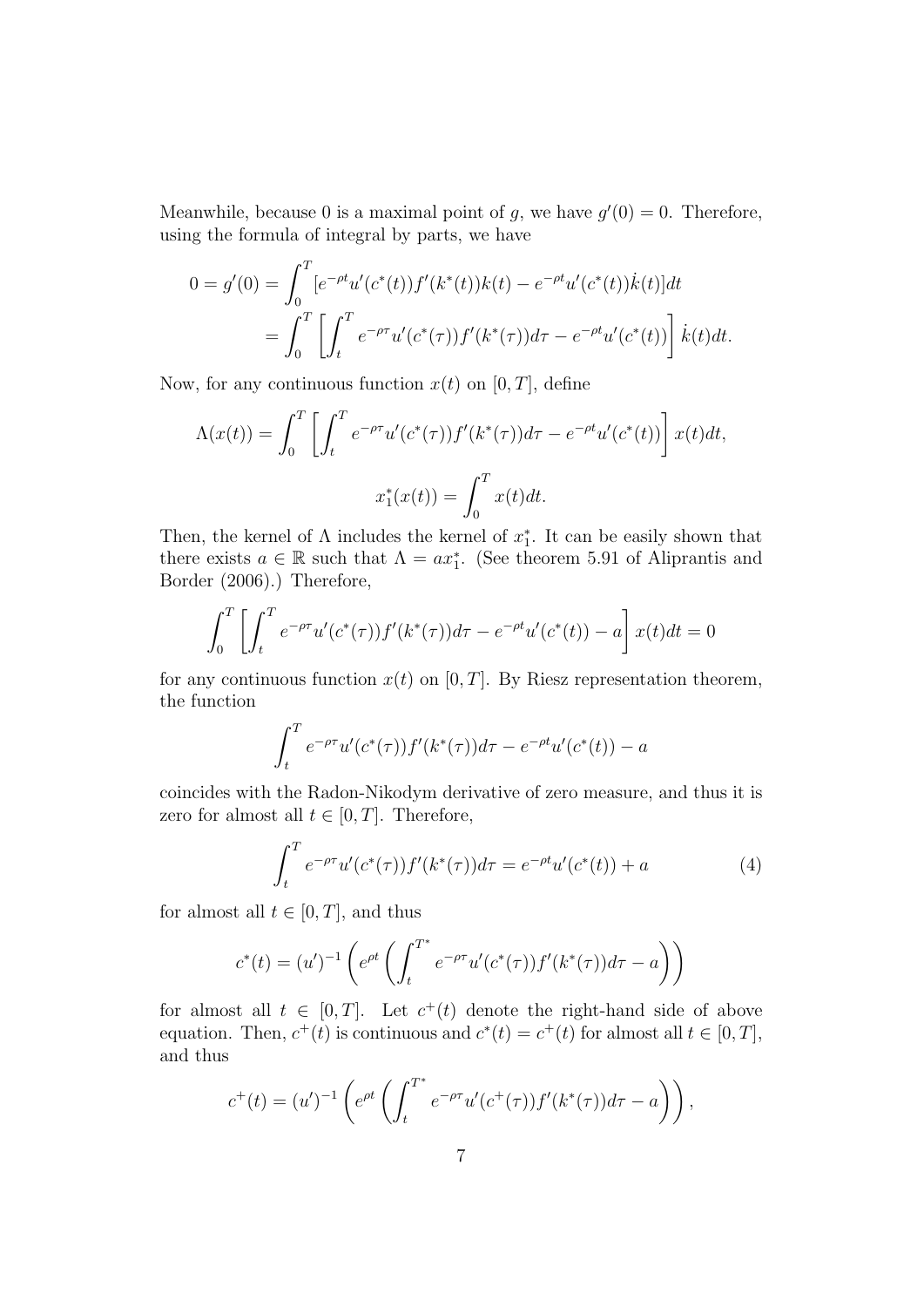Meanwhile, because 0 is a maximal point of *g*, we have  $g'(0) = 0$ . Therefore, using the formula of integral by parts, we have

$$
0 = g'(0) = \int_0^T \left[e^{-\rho t} u'(c^*(t)) f'(k^*(t)) k(t) - e^{-\rho t} u'(c^*(t)) \dot{k}(t)\right] dt
$$
  
= 
$$
\int_0^T \left[\int_t^T e^{-\rho \tau} u'(c^*(\tau)) f'(k^*(\tau)) d\tau - e^{-\rho t} u'(c^*(t)) \right] \dot{k}(t) dt.
$$

Now, for any continuous function  $x(t)$  on [0, T], define

$$
\Lambda(x(t)) = \int_0^T \left[ \int_t^T e^{-\rho \tau} u'(c^*(\tau)) f'(k^*(\tau)) d\tau - e^{-\rho t} u'(c^*(t)) \right] x(t) dt,
$$
  

$$
x_1^*(x(t)) = \int_0^T x(t) dt.
$$

Then, the kernel of  $\Lambda$  includes the kernel of  $x_1^*$ . It can be easily shown that there exists  $a \in \mathbb{R}$  such that  $\Lambda = ax_1^*$ . (See theorem 5.91 of Aliprantis and Border (2006).) Therefore,

$$
\int_0^T \left[ \int_t^T e^{-\rho \tau} u'(c^*(\tau)) f'(k^*(\tau)) d\tau - e^{-\rho t} u'(c^*(t)) - a \right] x(t) dt = 0
$$

for any continuous function  $x(t)$  on [0, T]. By Riesz representation theorem, the function

$$
\int_{t}^{T} e^{-\rho \tau} u'(c^{*}(\tau)) f'(k^{*}(\tau)) d\tau - e^{-\rho t} u'(c^{*}(t)) - a
$$

coincides with the Radon-Nikodym derivative of zero measure, and thus it is zero for almost all  $t \in [0, T]$ . Therefore,

$$
\int_{t}^{T} e^{-\rho \tau} u'(c^{*}(\tau)) f'(k^{*}(\tau)) d\tau = e^{-\rho t} u'(c^{*}(t)) + a
$$
\n(4)

for almost all  $t \in [0, T]$ , and thus

$$
c^*(t) = (u')^{-1} \left( e^{\rho t} \left( \int_t^{T^*} e^{-\rho \tau} u'(c^*(\tau)) f'(k^*(\tau)) d\tau - a \right) \right)
$$

for almost all  $t \in [0, T]$ . Let  $c^+(t)$  denote the right-hand side of above equation. Then,  $c^+(t)$  is continuous and  $c^*(t) = c^+(t)$  for almost all  $t \in [0, T]$ , and thus

$$
c^{+}(t) = (u')^{-1} \left( e^{\rho t} \left( \int_t^{T^*} e^{-\rho \tau} u'(c^{+}(\tau)) f'(k^*(\tau)) d\tau - a \right) \right),
$$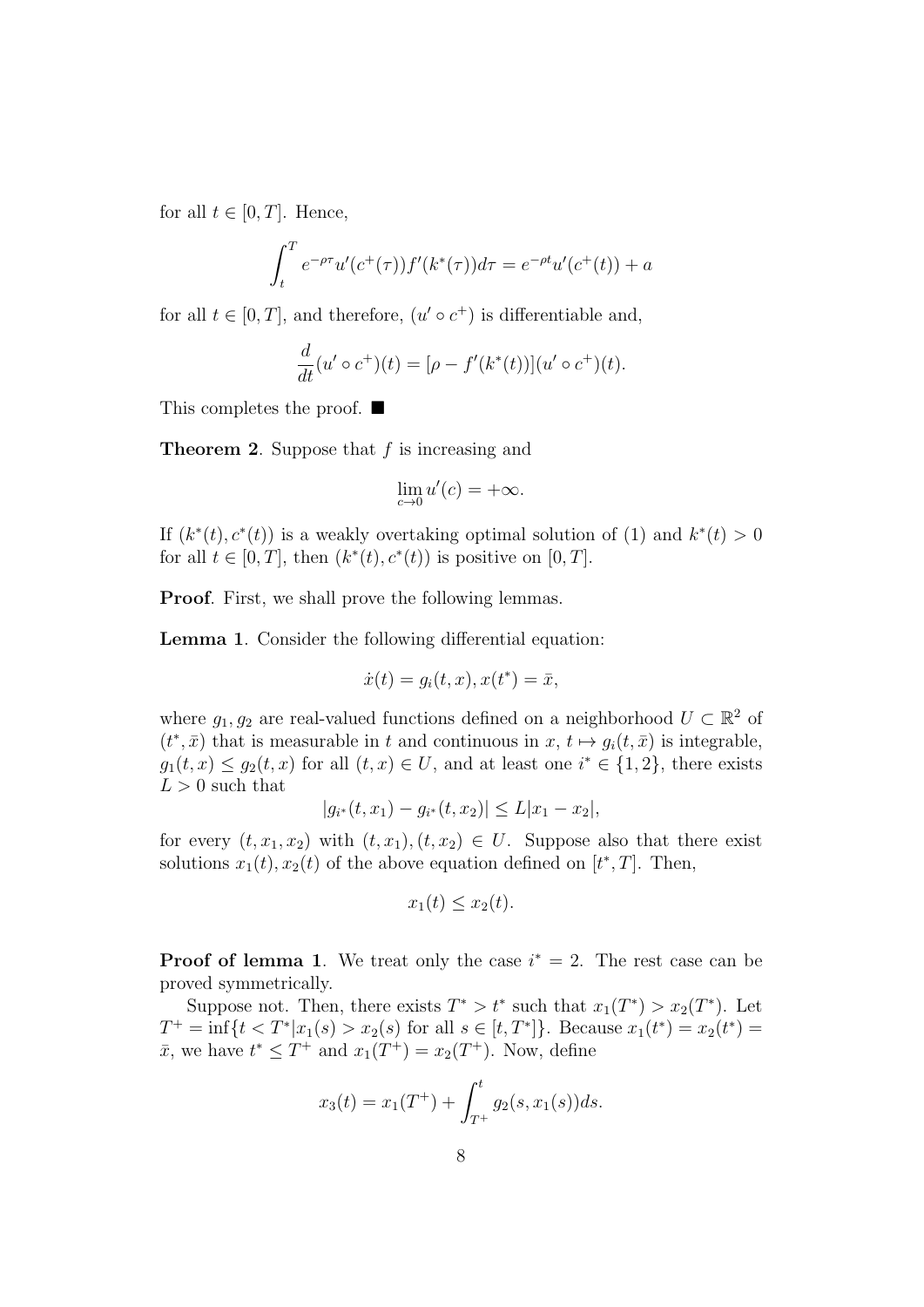for all  $t \in [0, T]$ . Hence,

$$
\int_{t}^{T} e^{-\rho \tau} u'(c^{+}(\tau)) f'(k^{*}(\tau)) d\tau = e^{-\rho t} u'(c^{+}(t)) + a
$$

for all  $t \in [0, T]$ , and therefore,  $(u' \circ c^+)$  is differentiable and,

$$
\frac{d}{dt}(u' \circ c^+)(t) = [\rho - f'(k^*(t))](u' \circ c^+)(t).
$$

This completes the proof. ■

**Theorem 2**. Suppose that *f* is increasing and

$$
\lim_{c \to 0} u'(c) = +\infty.
$$

If  $(k^*(t), c^*(t))$  is a weakly overtaking optimal solution of (1) and  $k^*(t) > 0$ for all  $t \in [0, T]$ , then  $(k^*(t), c^*(t))$  is positive on  $[0, T]$ .

**Proof.** First, we shall prove the following lemmas.

*|gi*

**Lemma 1**. Consider the following differential equation:

$$
\dot{x}(t) = g_i(t, x), x(t^*) = \bar{x},
$$

where  $g_1, g_2$  are real-valued functions defined on a neighborhood  $U \subset \mathbb{R}^2$  of  $(t^*, \bar{x})$  that is measurable in *t* and continuous in  $x, t \mapsto g_i(t, \bar{x})$  is integrable, *g*<sub>1</sub>(*t*, *x*) ≤ *g*<sub>2</sub>(*t*, *x*) for all (*t*, *x*) ∈ *U*, and at least one *i*<sup>\*</sup> ∈ {1, 2}, there exists  $L > 0$  such that

$$
g_{i^*}(t, x_1) - g_{i^*}(t, x_2)| \le L|x_1 - x_2|,
$$

for every  $(t, x_1, x_2)$  with  $(t, x_1), (t, x_2) \in U$ . Suppose also that there exist solutions  $x_1(t)$ ,  $x_2(t)$  of the above equation defined on  $[t^*,T]$ . Then,

$$
x_1(t) \le x_2(t).
$$

**Proof of lemma 1**. We treat only the case  $i^* = 2$ . The rest case can be proved symmetrically.

Suppose not. Then, there exists  $T^* > t^*$  such that  $x_1(T^*) > x_2(T^*)$ . Let  $T^+$  = inf{ $t < T^* | x_1(s) > x_2(s)$  for all  $s \in [t, T^*]$ }. Because  $x_1(t^*) = x_2(t^*)$  = *x*<sup>2</sup>, we have *t*<sup>\*</sup> ≤ *T*<sup>+</sup> and *x*<sub>1</sub>(*T*<sup>+</sup>) = *x*<sub>2</sub>(*T*<sup>+</sup>). Now, define

$$
x_3(t) = x_1(T^+) + \int_{T^+}^t g_2(s, x_1(s))ds.
$$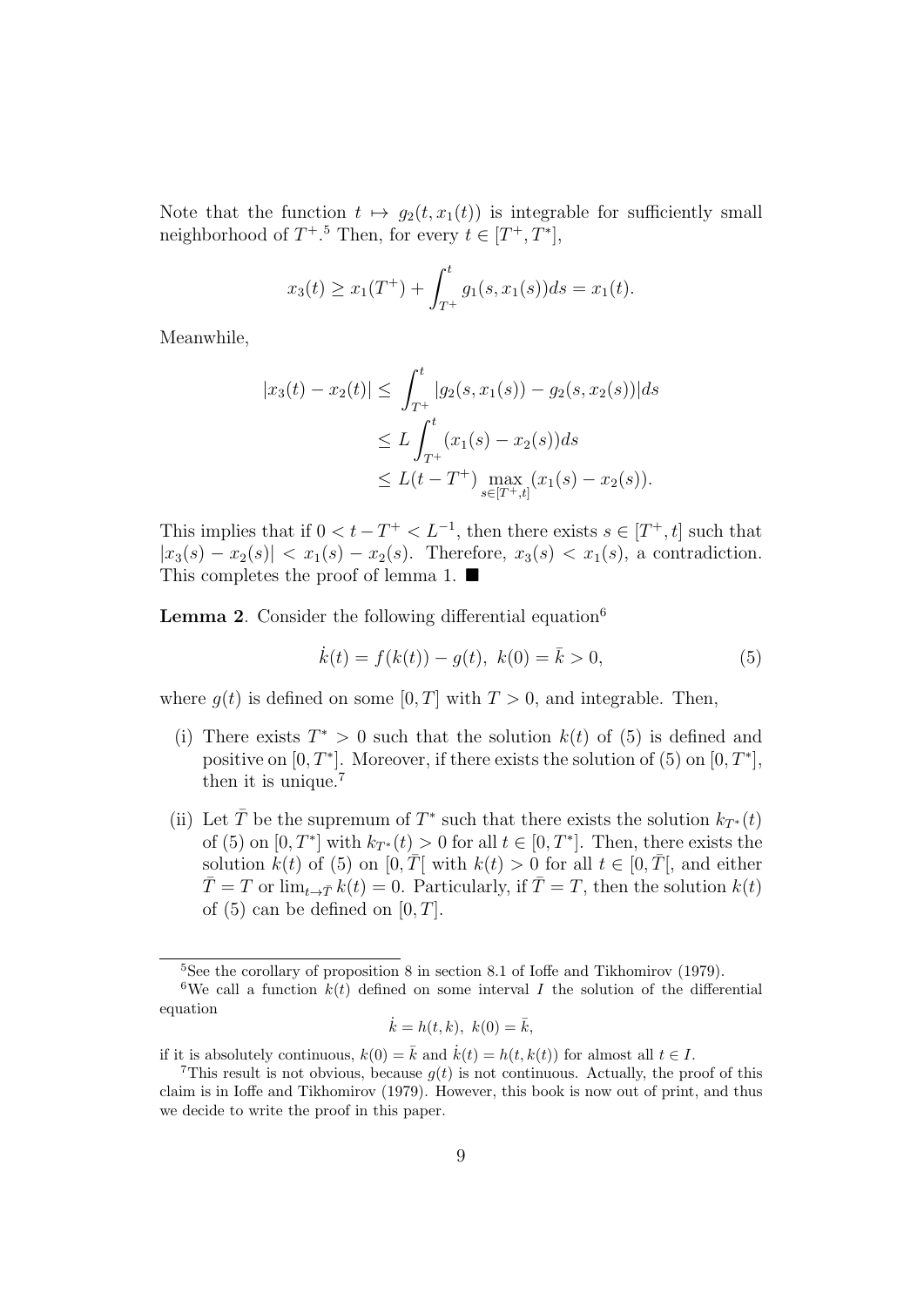Note that the function  $t \mapsto g_2(t, x_1(t))$  is integrable for sufficiently small neighborhood of  $T^+$ <sup>5</sup> Then, for every  $t \in [T^+, T^*]$ ,

$$
x_3(t) \ge x_1(T^+) + \int_{T^+}^t g_1(s, x_1(s)) ds = x_1(t).
$$

Meanwhile,

$$
|x_3(t) - x_2(t)| \le \int_{T^+}^t |g_2(s, x_1(s)) - g_2(s, x_2(s))| ds
$$
  
\n
$$
\le L \int_{T^+}^t (x_1(s) - x_2(s)) ds
$$
  
\n
$$
\le L(t - T^+) \max_{s \in [T^+, t]} (x_1(s) - x_2(s)).
$$

This implies that if  $0 < t - T^+ < L^{-1}$ , then there exists  $s \in [T^+, t]$  such that  $|x_3(s) - x_2(s)| < x_1(s) - x_2(s)$ . Therefore,  $x_3(s) < x_1(s)$ , a contradiction. This completes the proof of lemma 1. ■

Lemma 2. Consider the following differential equation<sup>6</sup>

$$
\dot{k}(t) = f(k(t)) - g(t), \ k(0) = \bar{k} > 0,
$$
\n(5)

where  $g(t)$  is defined on some [0, T] with  $T > 0$ , and integrable. Then,

- (i) There exists  $T^* > 0$  such that the solution  $k(t)$  of (5) is defined and positive on  $[0, T^*]$ . Moreover, if there exists the solution of  $(5)$  on  $[0, T^*]$ , then it is unique.<sup>7</sup>
- (ii) Let  $\overline{T}$  be the supremum of  $T^*$  such that there exists the solution  $k_{T^*}(t)$ of (5) on  $[0, T^*]$  with  $k_{T^*}(t) > 0$  for all  $t \in [0, T^*]$ . Then, there exists the solution  $k(t)$  of (5) on  $[0, \overline{T}]$  with  $k(t) > 0$  for all  $t \in [0, \overline{T}]$ , and either  $\overline{T} = T$  or  $\lim_{t \to \overline{T}} k(t) = 0$ . Particularly, if  $\overline{T} = T$ , then the solution  $k(t)$ of  $(5)$  can be defined on  $[0, T]$ .

$$
\dot{k} = h(t, k), \ k(0) = \bar{k},
$$

if it is absolutely continuous,  $k(0) = \overline{k}$  and  $\dot{k}(t) = h(t, k(t))$  for almost all  $t \in I$ .

<sup>&</sup>lt;sup>5</sup>See the corollary of proposition 8 in section 8.1 of Ioffe and Tikhomirov (1979).

<sup>&</sup>lt;sup>6</sup>We call a function  $k(t)$  defined on some interval *I* the solution of the differential equation

<sup>&</sup>lt;sup>7</sup>This result is not obvious, because  $g(t)$  is not continuous. Actually, the proof of this claim is in Ioffe and Tikhomirov (1979). However, this book is now out of print, and thus we decide to write the proof in this paper.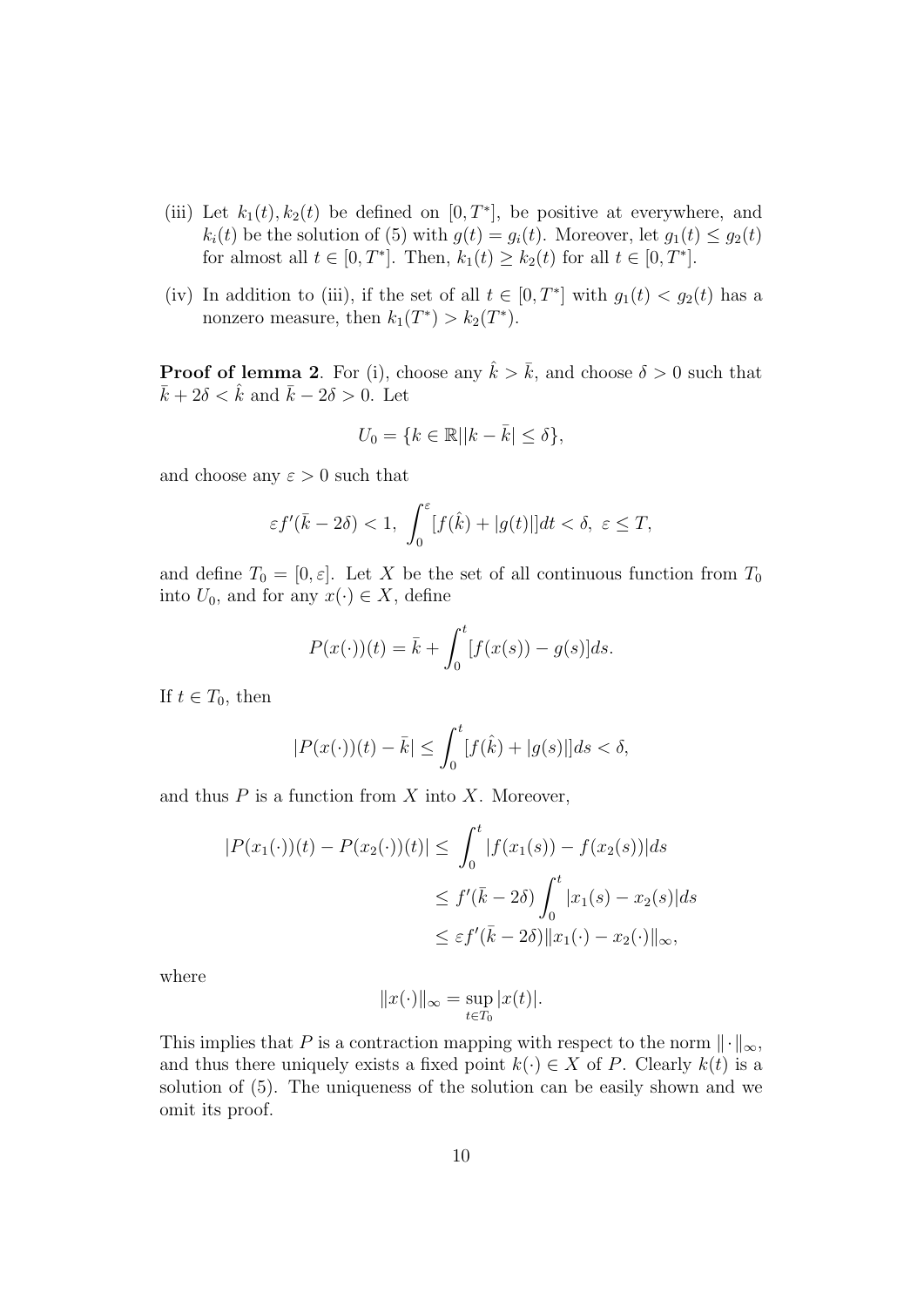- (iii) Let  $k_1(t)$ ,  $k_2(t)$  be defined on  $[0, T^*]$ , be positive at everywhere, and  $k_i(t)$  be the solution of (5) with  $g(t) = g_i(t)$ . Moreover, let  $g_1(t) \leq g_2(t)$ for almost all  $t \in [0, T^*]$ . Then,  $k_1(t) \geq k_2(t)$  for all  $t \in [0, T^*]$ .
- (iv) In addition to (iii), if the set of all  $t \in [0, T^*]$  with  $g_1(t) < g_2(t)$  has a nonzero measure, then  $k_1(T^*) > k_2(T^*)$ .

**Proof of lemma 2**. For (i), choose any  $\hat{k} > \bar{k}$ , and choose  $\delta > 0$  such that  $\bar{k} + 2\delta < \hat{k}$  and  $\bar{k} - 2\delta > 0$ . Let

$$
U_0 = \{ k \in \mathbb{R} | |k - \bar{k}| \le \delta \},\
$$

and choose any  $\varepsilon > 0$  such that

$$
\varepsilon f'(\bar{k}-2\delta) < 1, \ \int_0^\varepsilon [f(\hat{k}) + |g(t)|] dt < \delta, \ \varepsilon \leq T,
$$

and define  $T_0 = [0, \varepsilon]$ . Let X be the set of all continuous function from  $T_0$ into  $U_0$ , and for any  $x(\cdot) \in X$ , define

$$
P(x(\cdot))(t) = \bar{k} + \int_0^t [f(x(s)) - g(s)]ds.
$$

If  $t \in T_0$ , then

$$
|P(x(\cdot))(t) - \bar{k}| \le \int_0^t [f(\hat{k}) + |g(s)|]ds < \delta,
$$

and thus *P* is a function from *X* into *X*. Moreover,

$$
|P(x_1(\cdot))(t) - P(x_2(\cdot))(t)| \le \int_0^t |f(x_1(s)) - f(x_2(s))| ds
$$
  

$$
\le f'(\bar{k} - 2\delta) \int_0^t |x_1(s) - x_2(s)| ds
$$
  

$$
\le \varepsilon f'(\bar{k} - 2\delta) \|x_1(\cdot) - x_2(\cdot)\|_{\infty},
$$

where

$$
||x(\cdot)||_{\infty} = \sup_{t \in T_0} |x(t)|.
$$

This implies that *P* is a contraction mapping with respect to the norm  $\|\cdot\|_{\infty}$ , and thus there uniquely exists a fixed point  $k(\cdot) \in X$  of *P*. Clearly  $k(t)$  is a solution of (5). The uniqueness of the solution can be easily shown and we omit its proof.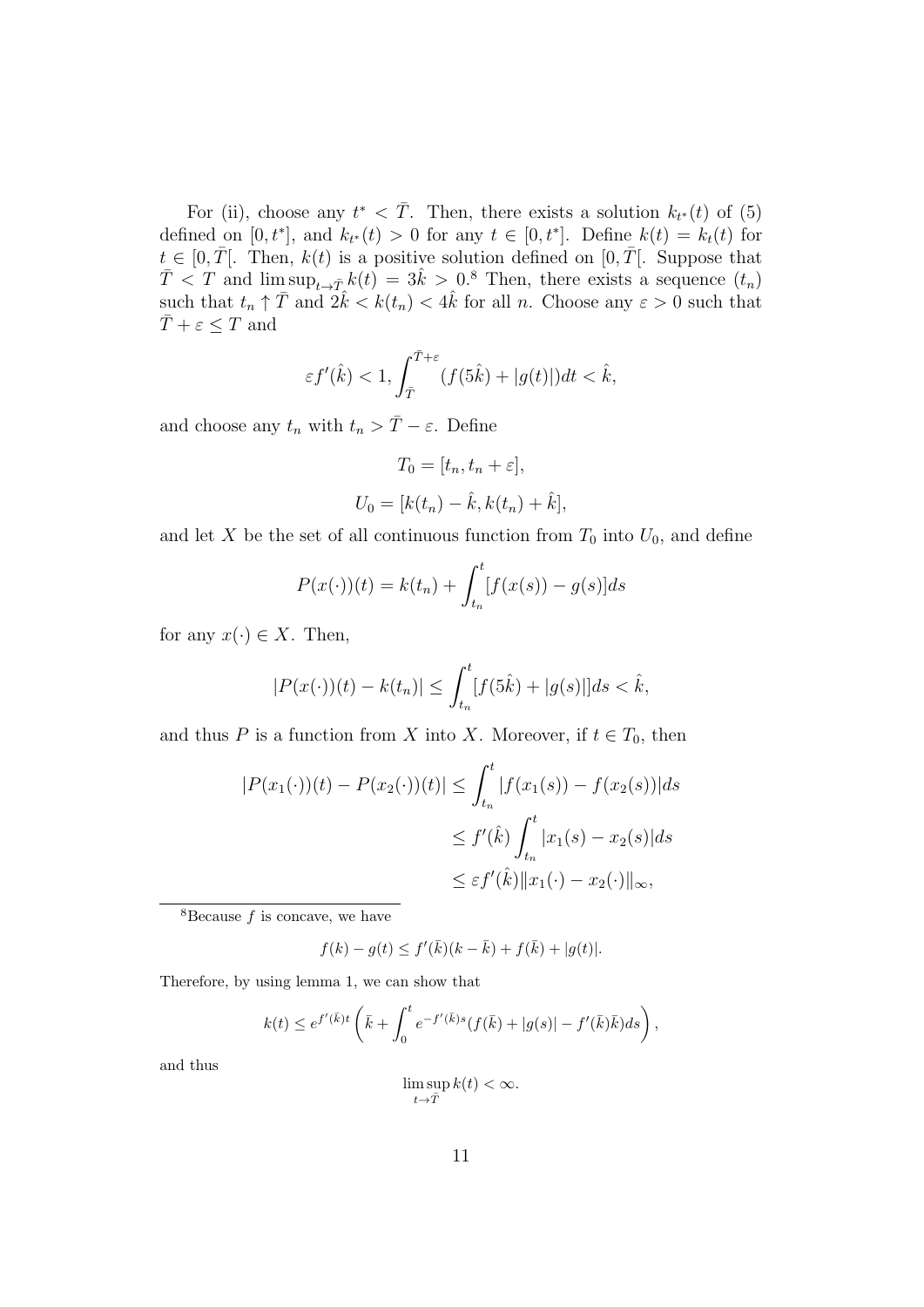For (ii), choose any  $t^* < \overline{T}$ . Then, there exists a solution  $k_{t^*}(t)$  of (5) defined on  $[0, t^*]$ , and  $k_{t^*}(t) > 0$  for any  $t \in [0, t^*]$ . Define  $k(t) = k_t(t)$  for  $t \in [0, \overline{T}]$ . Then,  $k(t)$  is a positive solution defined on  $[0, \overline{T}]$ . Suppose that  $\overline{T}$  < *T* and  $\limsup_{t\to T} k(t) = 3\hat{k} > 0.8$  Then, there exists a sequence  $(t_n)$ such that  $t_n \uparrow \overline{T}$  and  $2\hat{k} < k(t_n) < 4\hat{k}$  for all *n*. Choose any  $\varepsilon > 0$  such that  $\overline{T} + \varepsilon \leq T$  and

$$
\varepsilon f'(\hat k)<1, \int_{\bar T}^{\bar T+\varepsilon}(f(5\hat k)+|g(t)|)dt<\hat k,
$$

and choose any  $t_n$  with  $t_n > \overline{T} - \varepsilon$ . Define

$$
T_0 = [t_n, t_n + \varepsilon],
$$
  

$$
U_0 = [k(t_n) - \hat{k}, k(t_n) + \hat{k}],
$$

and let *X* be the set of all continuous function from  $T_0$  into  $U_0$ , and define

$$
P(x(\cdot))(t) = k(t_n) + \int_{t_n}^t [f(x(s)) - g(s)]ds
$$

for any  $x(\cdot) \in X$ . Then,

$$
|P(x(\cdot))(t) - k(t_n)| \le \int_{t_n}^t [f(5\hat{k}) + |g(s)|]ds < \hat{k},
$$

and thus *P* is a function from *X* into *X*. Moreover, if  $t \in T_0$ , then

$$
|P(x_1(\cdot))(t) - P(x_2(\cdot))(t)| \le \int_{t_n}^t |f(x_1(s)) - f(x_2(s))| ds
$$
  
\n
$$
\le f'(\hat{k}) \int_{t_n}^t |x_1(s) - x_2(s)| ds
$$
  
\n
$$
\le \varepsilon f'(\hat{k}) \|x_1(\cdot) - x_2(\cdot)\|_{\infty},
$$

<sup>8</sup>Because  $f$  is concave, we have

$$
f(k) - g(t) \le f'(\bar{k})(k - \bar{k}) + f(\bar{k}) + |g(t)|.
$$

Therefore, by using lemma 1, we can show that

$$
k(t) \le e^{f'(\bar{k})t} \left( \bar{k} + \int_0^t e^{-f'(\bar{k})s} (f(\bar{k}) + |g(s)| - f'(\bar{k})\bar{k}) ds \right),
$$

and thus

$$
\limsup_{t \to \bar{T}} k(t) < \infty.
$$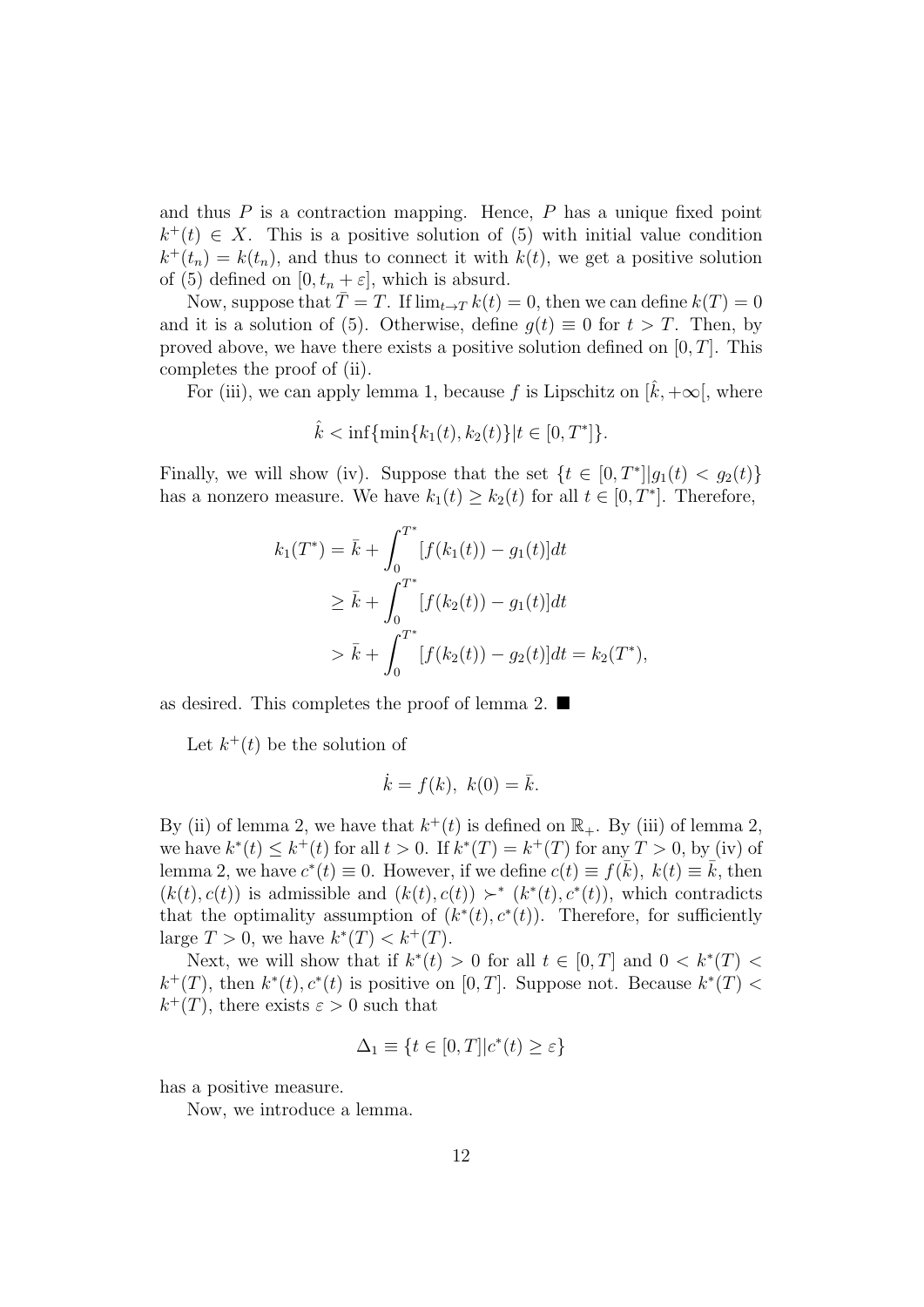and thus *P* is a contraction mapping. Hence, *P* has a unique fixed point  $k^+(t) \in X$ . This is a positive solution of (5) with initial value condition  $k^+(t_n) = k(t_n)$ , and thus to connect it with  $k(t)$ , we get a positive solution of (5) defined on  $[0, t_n + \varepsilon]$ , which is absurd.

Now, suppose that  $\overline{T} = T$ . If  $\lim_{t \to T} k(t) = 0$ , then we can define  $k(T) = 0$ and it is a solution of (5). Otherwise, define  $g(t) \equiv 0$  for  $t > T$ . Then, by proved above, we have there exists a positive solution defined on [0*, T*]. This completes the proof of (ii).

For (iii), we can apply lemma 1, because f is Lipschitz on  $[k, +\infty]$ , where

$$
\hat{k} < \inf\{\min\{k_1(t), k_2(t)\} | t \in [0, T^*] \}.
$$

Finally, we will show (iv). Suppose that the set  $\{t \in [0, T^*]| g_1(t) < g_2(t)\}$ has a nonzero measure. We have  $k_1(t) \geq k_2(t)$  for all  $t \in [0, T^*]$ . Therefore,

$$
k_1(T^*) = \bar{k} + \int_0^{T^*} [f(k_1(t)) - g_1(t)]dt
$$
  
\n
$$
\geq \bar{k} + \int_0^{T^*} [f(k_2(t)) - g_1(t)]dt
$$
  
\n
$$
> \bar{k} + \int_0^{T^*} [f(k_2(t)) - g_2(t)]dt = k_2(T^*),
$$

as desired. This completes the proof of lemma 2. ■

Let  $k^+(t)$  be the solution of

$$
\dot{k} = f(k), \ k(0) = \bar{k}.
$$

By (ii) of lemma 2, we have that  $k^+(t)$  is defined on  $\mathbb{R}_+$ . By (iii) of lemma 2, we have  $k^*(t) \leq k^+(t)$  for all  $t > 0$ . If  $k^*(T) = k^+(T)$  for any  $T > 0$ , by (iv) of lemma 2, we have  $c^*(t) \equiv 0$ . However, if we define  $c(t) \equiv f(\overline{k})$ ,  $k(t) \equiv \overline{k}$ , then  $(k(t), c(t))$  is admissible and  $(k(t), c(t)) \succ^* (k^*(t), c^*(t))$ , which contradicts that the optimality assumption of  $(k^*(t), c^*(t))$ . Therefore, for sufficiently large  $T > 0$ , we have  $k^*(T) < k^+(T)$ .

Next, we will show that if  $k^*(t) > 0$  for all  $t \in [0, T]$  and  $0 < k^*(T) <$  $k^+(T)$ , then  $k^*(t)$ ,  $c^*(t)$  is positive on [0, *T*]. Suppose not. Because  $k^*(T)$  $k^+(T)$ , there exists  $\varepsilon > 0$  such that

$$
\Delta_1 \equiv \{ t \in [0, T] | c^*(t) \ge \varepsilon \}
$$

has a positive measure.

Now, we introduce a lemma.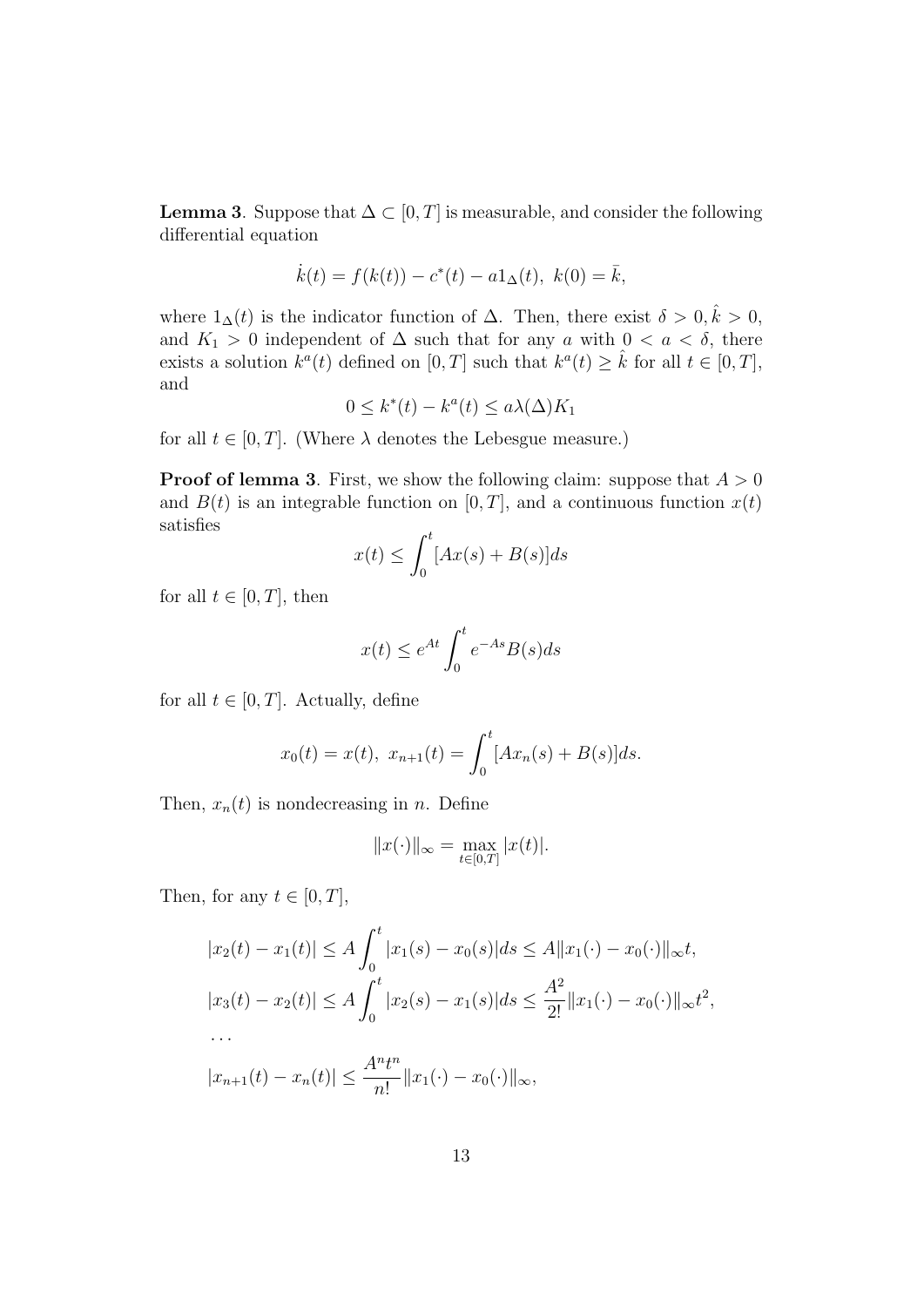**Lemma 3**. Suppose that  $\Delta \subset [0, T]$  is measurable, and consider the following differential equation

$$
\dot{k}(t) = f(k(t)) - c^*(t) - a1_\Delta(t), \ k(0) = \bar{k},
$$

where  $1_{\Delta}(t)$  is the indicator function of  $\Delta$ . Then, there exist  $\delta > 0, \hat{k} > 0$ , and  $K_1 > 0$  independent of  $\Delta$  such that for any *a* with  $0 < a < \delta$ , there exists a solution  $k^a(t)$  defined on  $[0, T]$  such that  $k^a(t) \geq \hat{k}$  for all  $t \in [0, T]$ , and

$$
0 \le k^*(t) - k^a(t) \le a\lambda(\Delta)K_1
$$

for all  $t \in [0, T]$ . (Where  $\lambda$  denotes the Lebesgue measure.)

**Proof of lemma 3**. First, we show the following claim: suppose that *A >* 0 and  $B(t)$  is an integrable function on  $[0, T]$ , and a continuous function  $x(t)$ satisfies

$$
x(t) \le \int_0^t [Ax(s) + B(s)]ds
$$

for all  $t \in [0, T]$ , then

$$
x(t) \le e^{At} \int_0^t e^{-As} B(s) ds
$$

for all  $t \in [0, T]$ . Actually, define

$$
x_0(t) = x(t), x_{n+1}(t) = \int_0^t [Ax_n(s) + B(s)]ds.
$$

Then,  $x_n(t)$  is nondecreasing in *n*. Define

$$
||x(\cdot)||_{\infty} = \max_{t \in [0,T]} |x(t)|.
$$

Then, for any  $t \in [0, T]$ ,

$$
|x_2(t) - x_1(t)| \le A \int_0^t |x_1(s) - x_0(s)| ds \le A ||x_1(\cdot) - x_0(\cdot)||_{\infty} t,
$$
  
\n
$$
|x_3(t) - x_2(t)| \le A \int_0^t |x_2(s) - x_1(s)| ds \le \frac{A^2}{2!} ||x_1(\cdot) - x_0(\cdot)||_{\infty} t^2,
$$
  
\n...  
\n
$$
|x_{n+1}(t) - x_n(t)| \le \frac{A^n t^n}{n!} ||x_1(\cdot) - x_0(\cdot)||_{\infty},
$$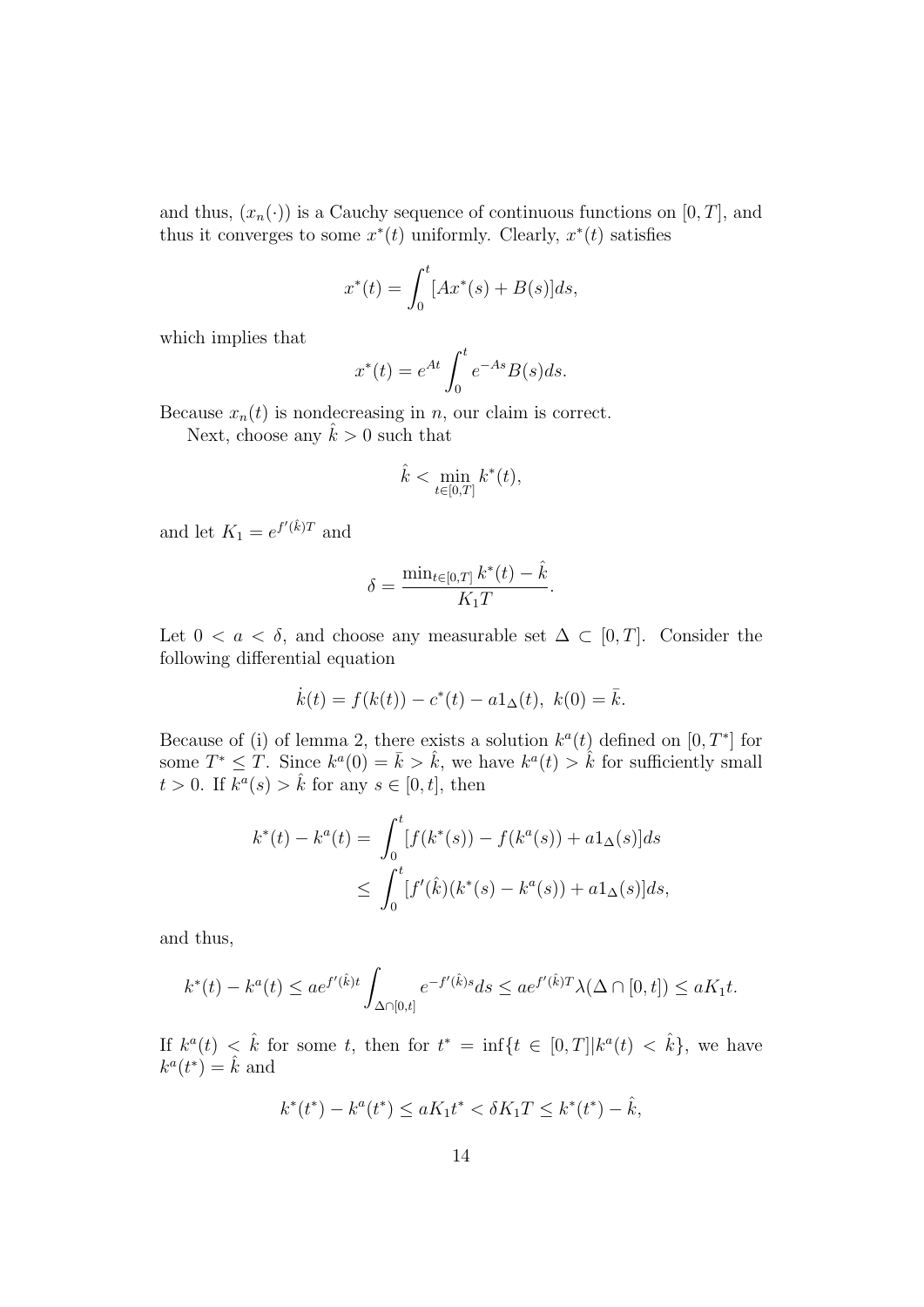and thus,  $(x_n(\cdot))$  is a Cauchy sequence of continuous functions on [0, T], and thus it converges to some  $x^*(t)$  uniformly. Clearly,  $x^*(t)$  satisfies

$$
x^*(t) = \int_0^t [Ax^*(s) + B(s)]ds,
$$

which implies that

$$
x^*(t) = e^{At} \int_0^t e^{-As} B(s) ds.
$$

Because  $x_n(t)$  is nondecreasing in *n*, our claim is correct.

Next, choose any  $\hat{k} > 0$  such that

$$
\hat{k} < \min_{t \in [0,T]} k^*(t),
$$

and let  $K_1 = e^{f'(\hat{k})T}$  and

$$
\delta = \frac{\min_{t \in [0,T]} k^*(t) - \hat{k}}{K_1 T}.
$$

Let  $0 < a < \delta$ , and choose any measurable set  $\Delta \subset [0, T]$ . Consider the following differential equation

$$
\dot{k}(t) = f(k(t)) - c^*(t) - a1_\Delta(t), \ k(0) = \bar{k}.
$$

Because of (i) of lemma 2, there exists a solution  $k^a(t)$  defined on  $[0, T^*]$  for some  $T^* \leq T$ . Since  $k^a(0) = \bar{k} > \hat{k}$ , we have  $k^a(t) > \hat{k}$  for sufficiently small  $t > 0$ . If  $\overline{k}^a(s) > \hat{k}$  for any  $s \in [0, t]$ , then

$$
k^*(t) - k^a(t) = \int_0^t [f(k^*(s)) - f(k^a(s)) + a1_\Delta(s)]ds
$$
  
 
$$
\leq \int_0^t [f'(\hat{k})(k^*(s) - k^a(s)) + a1_\Delta(s)]ds,
$$

and thus,

$$
k^*(t) - k^a(t) \le a e^{f'(\hat{k})t} \int_{\Delta \cap [0,t]} e^{-f'(\hat{k})s} ds \le a e^{f'(\hat{k})T} \lambda(\Delta \cap [0,t]) \le a K_1 t.
$$

If  $k^a(t) < \hat{k}$  for some *t*, then for  $t^* = \inf\{t \in [0,T]|k^a(t) < \hat{k}\}$ , we have  $k^a(t^*) = \hat{k}$  and

$$
k^*(t^*) - k^a(t^*) \le aK_1t^* < \delta K_1T \le k^*(t^*) - \hat{k},
$$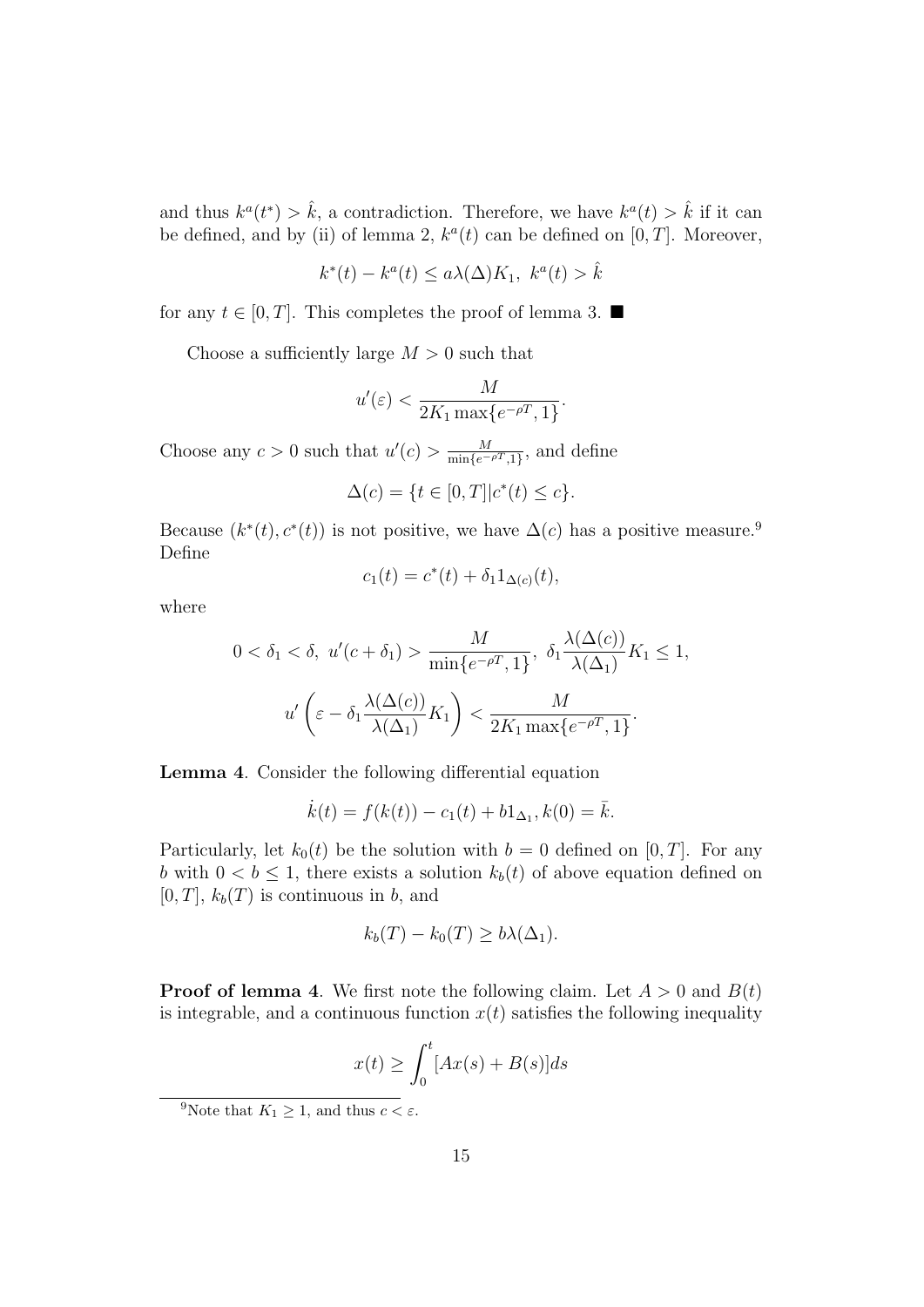and thus  $k^a(t^*) > \hat{k}$ , a contradiction. Therefore, we have  $k^a(t) > \hat{k}$  if it can be defined, and by (ii) of lemma 2,  $k^a(t)$  can be defined on  $[0, T]$ . Moreover,

$$
k^*(t) - k^a(t) \le a\lambda(\Delta)K_1, \ k^a(t) > \hat{k}
$$

for any  $t \in [0, T]$ . This completes the proof of lemma 3.  $\blacksquare$ 

Choose a sufficiently large *M >* 0 such that

$$
u'(\varepsilon) < \frac{M}{2K_1 \max\{e^{-\rho T}, 1\}}.
$$

Choose any  $c > 0$  such that  $u'(c) > \frac{M}{\min\{c\}}$  $\frac{M}{\min\{e^{-\rho T},1\}},$  and define

$$
\Delta(c) = \{ t \in [0, T] | c^*(t) \le c \}.
$$

Because  $(k^*(t), c^*(t))$  is not positive, we have  $\Delta(c)$  has a positive measure.<sup>9</sup> Define

$$
c_1(t) = c^*(t) + \delta_1 1_{\Delta(c)}(t),
$$

where

$$
0 < \delta_1 < \delta, \ u'(c + \delta_1) > \frac{M}{\min\{e^{-\rho T}, 1\}}, \ \delta_1 \frac{\lambda(\Delta(c))}{\lambda(\Delta_1)} K_1 \le 1,
$$
\n
$$
u'\left(\varepsilon - \delta_1 \frac{\lambda(\Delta(c))}{\lambda(\Delta_1)} K_1\right) < \frac{M}{2K_1 \max\{e^{-\rho T}, 1\}}.
$$

**Lemma 4**. Consider the following differential equation

$$
\dot{k}(t) = f(k(t)) - c_1(t) + b_1\Delta_1, k(0) = \bar{k}.
$$

Particularly, let  $k_0(t)$  be the solution with  $b = 0$  defined on [0, T]. For any *b* with  $0 < b \leq 1$ , there exists a solution  $k_b(t)$  of above equation defined on  $[0, T]$ ,  $k_b(T)$  is continuous in *b*, and

$$
k_b(T) - k_0(T) \ge b\lambda(\Delta_1).
$$

**Proof of lemma 4**. We first note the following claim. Let  $A > 0$  and  $B(t)$ is integrable, and a continuous function  $x(t)$  satisfies the following inequality

$$
x(t) \ge \int_0^t [Ax(s) + B(s)]ds
$$

<sup>&</sup>lt;sup>9</sup>Note that  $K_1 \geq 1$ , and thus  $c < \varepsilon$ .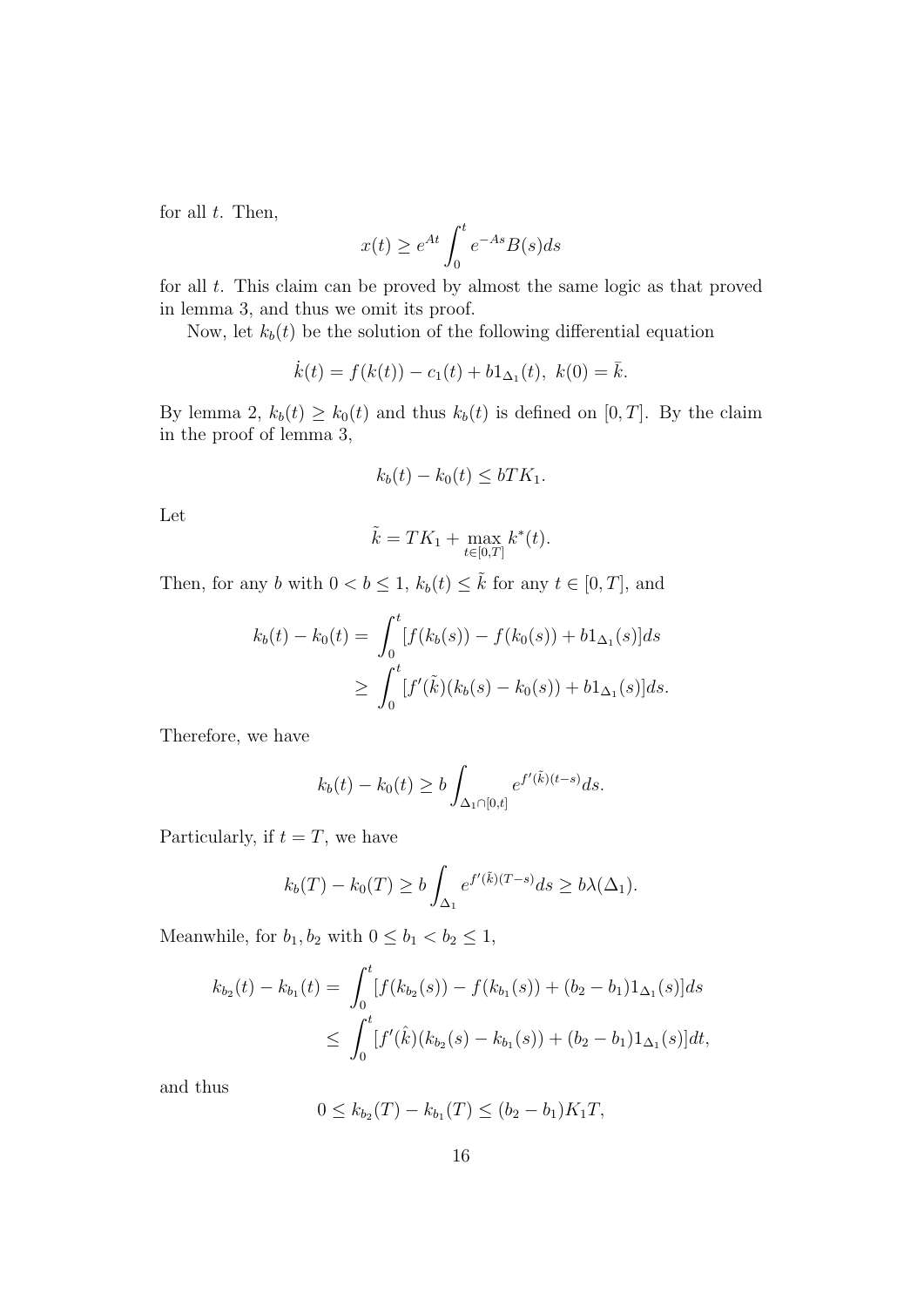for all *t*. Then,

$$
x(t) \ge e^{At} \int_0^t e^{-As} B(s) ds
$$

for all *t*. This claim can be proved by almost the same logic as that proved in lemma 3, and thus we omit its proof.

Now, let  $k_b(t)$  be the solution of the following differential equation

$$
\dot{k}(t) = f(k(t)) - c_1(t) + b_1\Delta_1(t), \ k(0) = \bar{k}.
$$

By lemma 2,  $k_b(t) \geq k_0(t)$  and thus  $k_b(t)$  is defined on [0, *T*]. By the claim in the proof of lemma 3,

$$
k_b(t) - k_0(t) \le bTK_1.
$$

Let

$$
\tilde{k} = TK_1 + \max_{t \in [0,T]} k^*(t).
$$

Then, for any *b* with  $0 < b \leq 1$ ,  $k_b(t) \leq \tilde{k}$  for any  $t \in [0, T]$ , and

$$
k_b(t) - k_0(t) = \int_0^t [f(k_b(s)) - f(k_0(s)) + b1_{\Delta_1}(s)]ds
$$
  
 
$$
\geq \int_0^t [f'(\tilde{k})(k_b(s) - k_0(s)) + b1_{\Delta_1}(s)]ds.
$$

Therefore, we have

$$
k_b(t) - k_0(t) \ge b \int_{\Delta_1 \cap [0,t]} e^{f'(\tilde{k})(t-s)} ds.
$$

Particularly, if  $t = T$ , we have

$$
k_b(T) - k_0(T) \ge b \int_{\Delta_1} e^{f'(\tilde{k})(T-s)} ds \ge b\lambda(\Delta_1).
$$

Meanwhile, for  $b_1, b_2$  with  $0 \leq b_1 < b_2 \leq 1$ ,

$$
k_{b_2}(t) - k_{b_1}(t) = \int_0^t [f(k_{b_2}(s)) - f(k_{b_1}(s)) + (b_2 - b_1)1_{\Delta_1}(s)]ds
$$
  
 
$$
\leq \int_0^t [f'(\hat{k})(k_{b_2}(s) - k_{b_1}(s)) + (b_2 - b_1)1_{\Delta_1}(s)]dt,
$$

and thus

$$
0 \le k_{b_2}(T) - k_{b_1}(T) \le (b_2 - b_1)K_1T,
$$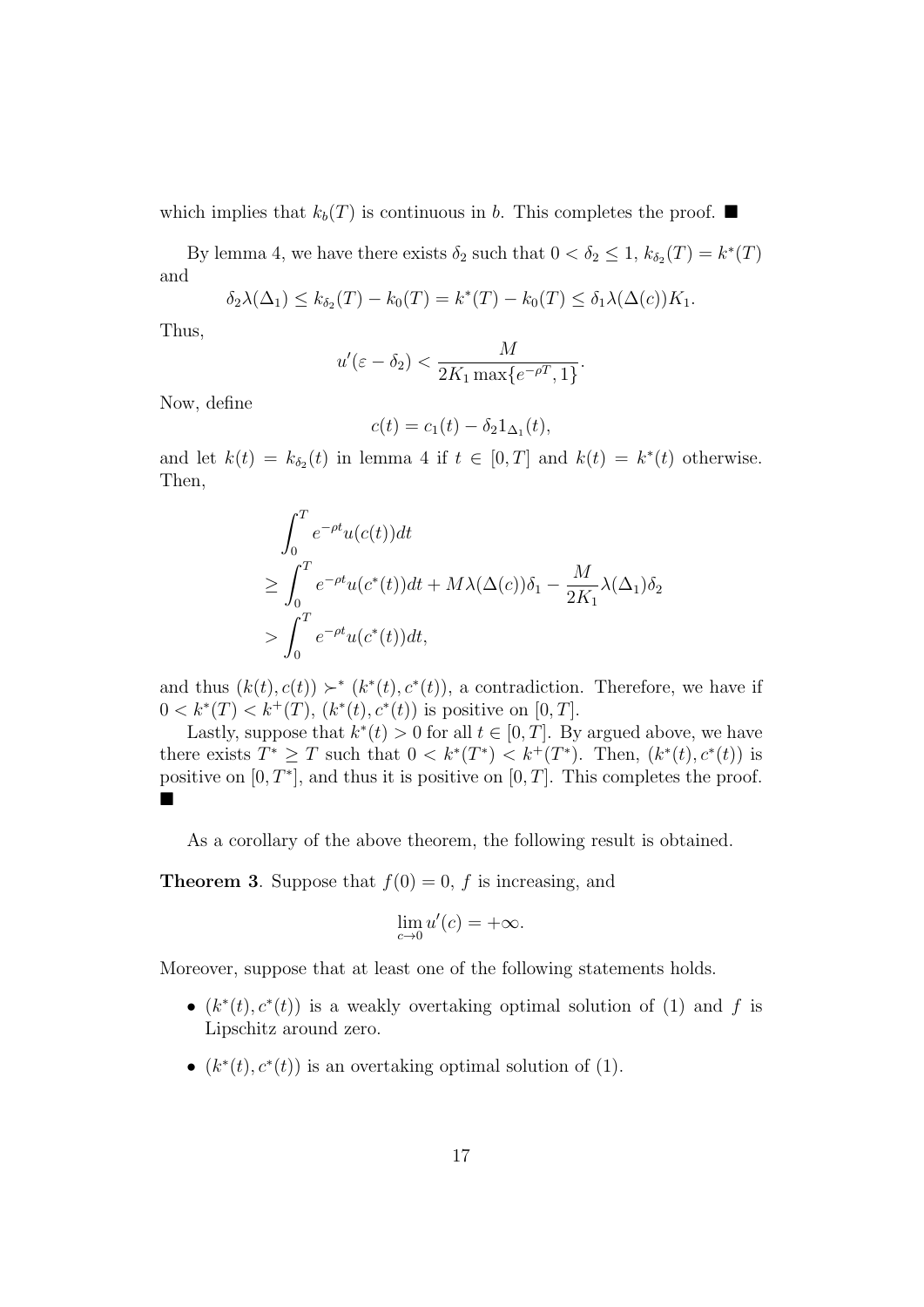which implies that  $k_b(T)$  is continuous in *b*. This completes the proof.  $\blacksquare$ 

By lemma 4, we have there exists  $\delta_2$  such that  $0 < \delta_2 \leq 1$ ,  $k_{\delta_2}(T) = k^*(T)$ and

$$
\delta_2 \lambda(\Delta_1) \leq k_{\delta_2}(T) - k_0(T) = k^*(T) - k_0(T) \leq \delta_1 \lambda(\Delta(c)) K_1.
$$

Thus,

$$
u'(\varepsilon - \delta_2) < \frac{M}{2K_1 \max\{e^{-\rho T}, 1\}}.
$$

Now, define

$$
c(t) = c_1(t) - \delta_2 1_{\Delta_1}(t),
$$

and let  $k(t) = k_{\delta_2}(t)$  in lemma 4 if  $t \in [0, T]$  and  $k(t) = k^*(t)$  otherwise. Then,

$$
\int_0^T e^{-\rho t} u(c(t)) dt
$$
\n
$$
\geq \int_0^T e^{-\rho t} u(c^*(t)) dt + M\lambda(\Delta(c)) \delta_1 - \frac{M}{2K_1} \lambda(\Delta_1) \delta_2
$$
\n
$$
> \int_0^T e^{-\rho t} u(c^*(t)) dt,
$$

and thus  $(k(t), c(t)) \succ^* (k^*(t), c^*(t))$ , a contradiction. Therefore, we have if  $0 < k^*(T) < k^+(T)$ ,  $(k^*(t), c^*(t))$  is positive on [0, T].

Lastly, suppose that  $k^*(t) > 0$  for all  $t \in [0, T]$ . By argued above, we have there exists  $T^* \geq T$  such that  $0 < k^*(T^*) < k^+(T^*)$ . Then,  $(k^*(t), c^*(t))$  is positive on  $[0, T^*]$ , and thus it is positive on  $[0, T]$ . This completes the proof. ■

As a corollary of the above theorem, the following result is obtained.

**Theorem 3**. Suppose that  $f(0) = 0$ , *f* is increasing, and

$$
\lim_{c \to 0} u'(c) = +\infty.
$$

Moreover, suppose that at least one of the following statements holds.

- $(k^*(t), c^*(t))$  is a weakly overtaking optimal solution of (1) and *f* is Lipschitz around zero.
- $(k^*(t), c^*(t))$  is an overtaking optimal solution of (1).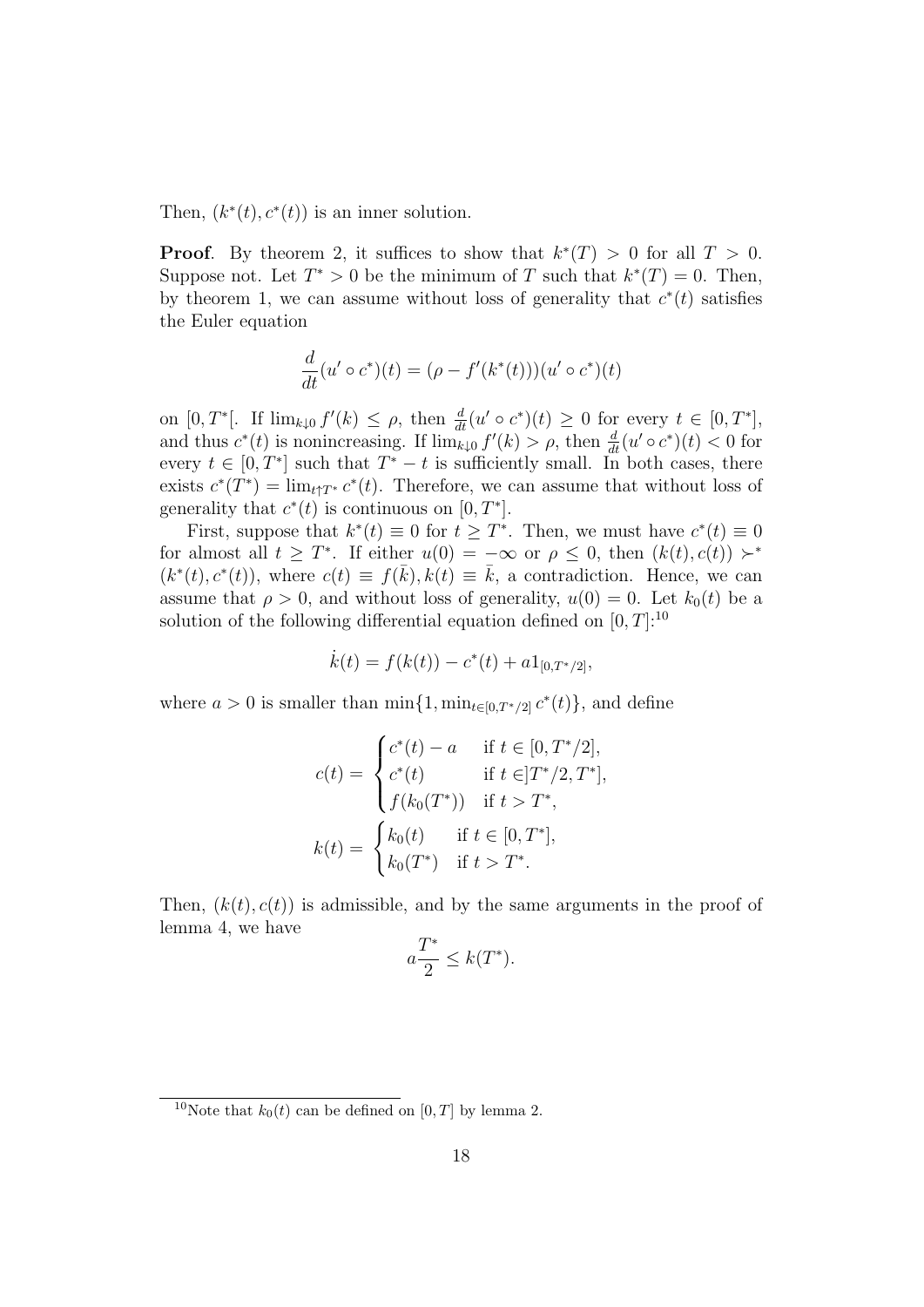Then,  $(k^*(t), c^*(t))$  is an inner solution.

**Proof.** By theorem 2, it suffices to show that  $k^*(T) > 0$  for all  $T > 0$ . Suppose not. Let  $T^* > 0$  be the minimum of *T* such that  $k^*(T) = 0$ . Then, by theorem 1, we can assume without loss of generality that  $c^*(t)$  satisfies the Euler equation

$$
\frac{d}{dt}(u' \circ c^*)(t) = (\rho - f'(k^*(t)))(u' \circ c^*)(t)
$$

on  $[0, T^*]$ . If  $\lim_{k\downarrow 0} f'(k) \leq \rho$ , then  $\frac{d}{dt}(u' \circ c^*)(t) \geq 0$  for every  $t \in [0, T^*]$ , and thus  $c^*(t)$  is nonincreasing. If  $\lim_{k\downarrow 0} f'(k) > \rho$ , then  $\frac{d}{dt}(u' \circ c^*)(t) < 0$  for every  $t \in [0, T^*]$  such that  $T^* - t$  is sufficiently small. In both cases, there exists  $c^*(T^*) = \lim_{t \uparrow T^*} c^*(t)$ . Therefore, we can assume that without loss of generality that  $c^*(t)$  is continuous on  $[0, T^*]$ .

First, suppose that  $k^*(t) \equiv 0$  for  $t \geq T^*$ . Then, we must have  $c^*(t) \equiv 0$ for almost all  $t \geq T^*$ . If either  $u(0) = -\infty$  or  $\rho \leq 0$ , then  $(k(t), c(t)) \succ^*$  $(k^*(t), c^*(t))$ , where  $c(t) \equiv f(\bar{k}), k(t) \equiv \bar{k}$ , a contradiction. Hence, we can assume that  $\rho > 0$ , and without loss of generality,  $u(0) = 0$ . Let  $k_0(t)$  be a solution of the following differential equation defined on  $[0, T]$ :<sup>10</sup>

$$
\dot{k}(t) = f(k(t)) - c^*(t) + a1_{[0,T^*/2]},
$$

where  $a > 0$  is smaller than  $\min\{1, \min_{t \in [0, T^*/2]} c^*(t)\}\)$ , and define

$$
c(t) = \begin{cases} c^*(t) - a & \text{if } t \in [0, T^*/2], \\ c^*(t) & \text{if } t \in ]T^*/2, T^*], \\ f(k_0(T^*)) & \text{if } t > T^*, \end{cases}
$$

$$
k(t) = \begin{cases} k_0(t) & \text{if } t \in [0, T^*], \\ k_0(T^*) & \text{if } t > T^*. \end{cases}
$$

Then,  $(k(t), c(t))$  is admissible, and by the same arguments in the proof of lemma 4, we have

$$
a\frac{T^*}{2} \le k(T^*).
$$

<sup>&</sup>lt;sup>10</sup>Note that  $k_0(t)$  can be defined on [0, T] by lemma 2.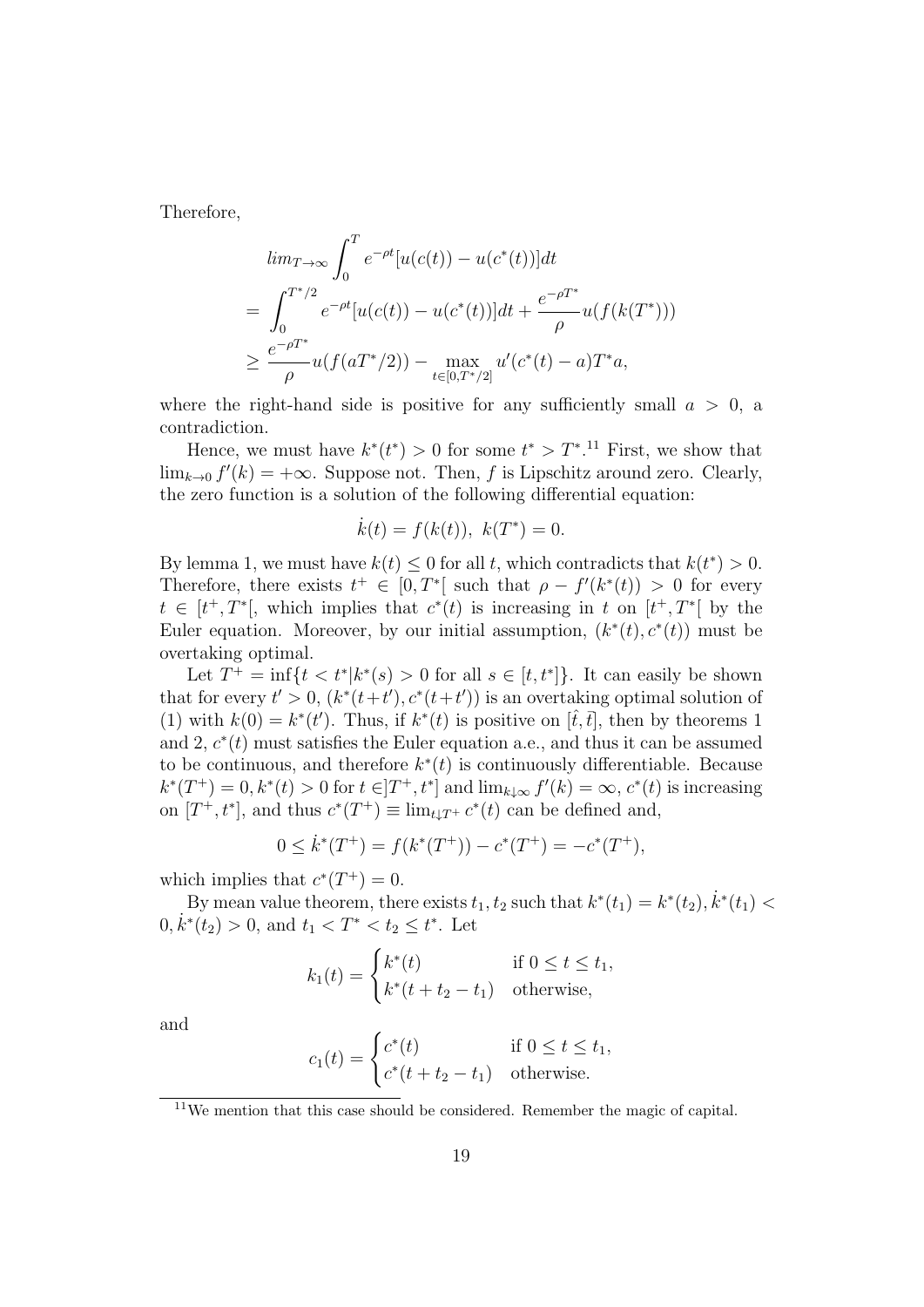Therefore,

$$
\lim_{T \to \infty} \int_0^T e^{-\rho t} [u(c(t)) - u(c^*(t))] dt
$$
\n
$$
= \int_0^{T^*/2} e^{-\rho t} [u(c(t)) - u(c^*(t))] dt + \frac{e^{-\rho T^*}}{\rho} u(f(k(T^*)))
$$
\n
$$
\geq \frac{e^{-\rho T^*}}{\rho} u(f(aT^*/2)) - \max_{t \in [0, T^*/2]} u'(c^*(t) - a) T^* a,
$$

where the right-hand side is positive for any sufficiently small  $a > 0$ , a contradiction.

Hence, we must have  $k^*(t^*) > 0$  for some  $t^* > T^*$ .<sup>11</sup> First, we show that  $\lim_{k\to 0} f'(k) = +\infty$ . Suppose not. Then, *f* is Lipschitz around zero. Clearly, the zero function is a solution of the following differential equation:

$$
\dot{k}(t) = f(k(t)), \ k(T^*) = 0.
$$

By lemma 1, we must have  $k(t) \leq 0$  for all *t*, which contradicts that  $k(t^*) > 0$ . Therefore, there exists  $t^+ \in [0, T^*]$  such that  $\rho - f'(k^*(t)) > 0$  for every  $t \in [t^+, T^*],$  which implies that  $c^*(t)$  is increasing in  $t$  on  $[t^+, T^*]$  by the Euler equation. Moreover, by our initial assumption,  $(k^*(t), c^*(t))$  must be overtaking optimal.

Let  $T^+$  = inf{ $t < t^*$ | $k^*(s) > 0$  for all  $s \in [t, t^*]$ }. It can easily be shown that for every  $t' > 0$ ,  $(k^*(t+t'), c^*(t+t'))$  is an overtaking optimal solution of (1) with  $k(0) = k^*(t')$ . Thus, if  $k^*(t)$  is positive on  $[\hat{t}, \bar{t}]$ , then by theorems 1 and 2,  $c^*(t)$  must satisfies the Euler equation a.e., and thus it can be assumed to be continuous, and therefore  $k^*(t)$  is continuously differentiable. Because  $k^*(T^+) = 0, k^*(t) > 0$  for  $t \in ]T^+, t^*]$  and  $\lim_{k \downarrow \infty} f'(k) = \infty, c^*(t)$  is increasing on  $[T^+, t^*]$ , and thus  $c^*(T^+) \equiv \lim_{t \downarrow T^+} c^*(t)$  can be defined and,

$$
0 \leq \dot{k}^*(T^+) = f(k^*(T^+)) - c^*(T^+) = -c^*(T^+),
$$

which implies that  $c^*(T^+) = 0$ .

By mean value theorem, there exists  $t_1, t_2$  such that  $k^*(t_1) = k^*(t_2), k^*(t_1)$  $0, \dot{k}^*(t_2) > 0$ , and  $t_1 < T^* < t_2 \leq t^*$ . Let

$$
k_1(t) = \begin{cases} k^*(t) & \text{if } 0 \le t \le t_1, \\ k^*(t + t_2 - t_1) & \text{otherwise,} \end{cases}
$$

and

$$
c_1(t) = \begin{cases} c^*(t) & \text{if } 0 \le t \le t_1, \\ c^*(t + t_2 - t_1) & \text{otherwise.} \end{cases}
$$

<sup>11</sup>We mention that this case should be considered. Remember the magic of capital.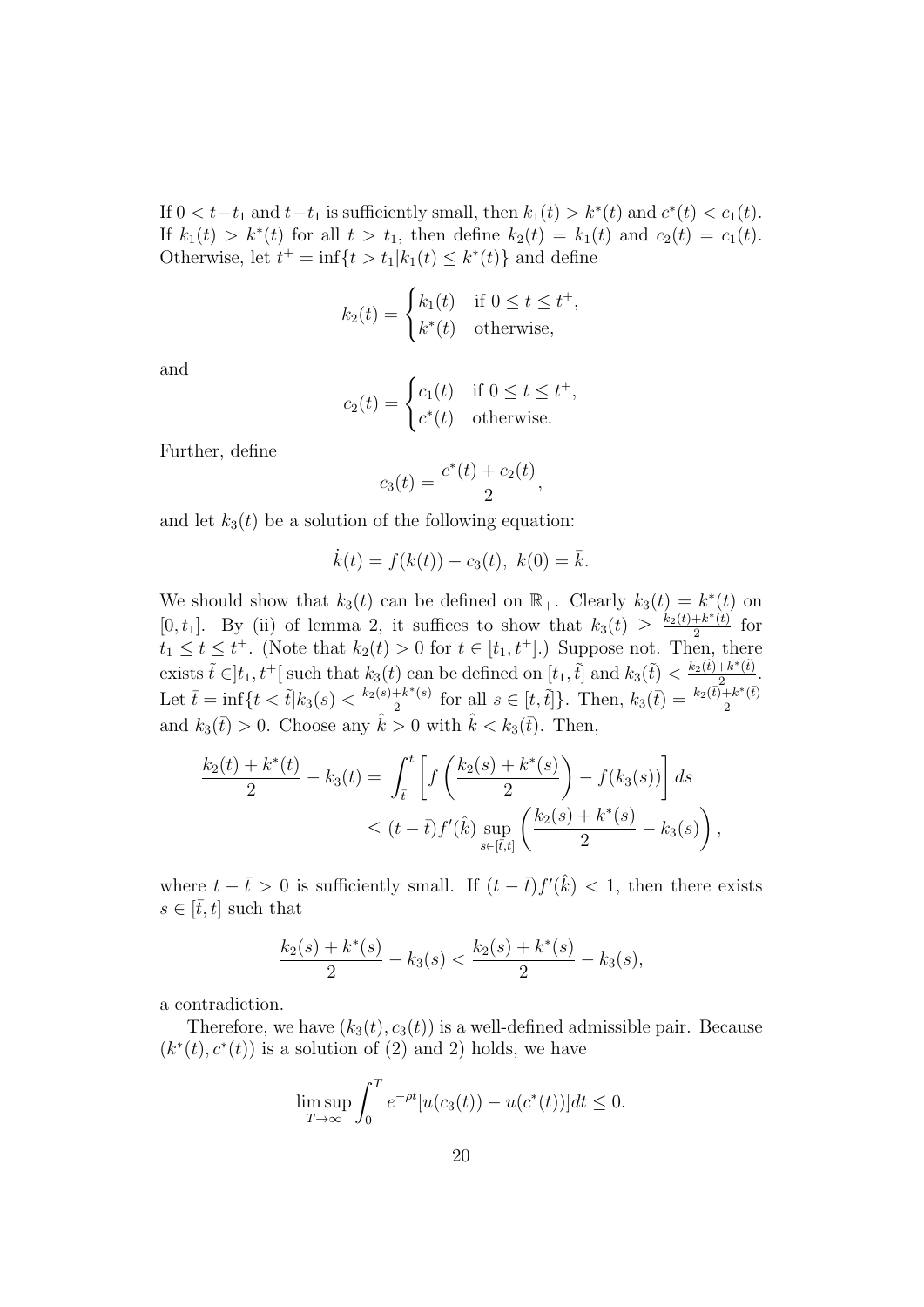If  $0 < t-t_1$  and  $t-t_1$  is sufficiently small, then  $k_1(t) > k^*(t)$  and  $c^*(t) < c_1(t)$ . If  $k_1(t) > k^*(t)$  for all  $t > t_1$ , then define  $k_2(t) = k_1(t)$  and  $c_2(t) = c_1(t)$ . Otherwise, let  $t^+$  = inf $\{t > t_1 | k_1(t) \leq k^*(t)\}$  and define

$$
k_2(t) = \begin{cases} k_1(t) & \text{if } 0 \le t \le t^+, \\ k^*(t) & \text{otherwise,} \end{cases}
$$

and

$$
c_2(t) = \begin{cases} c_1(t) & \text{if } 0 \le t \le t^+, \\ c^*(t) & \text{otherwise.} \end{cases}
$$

Further, define

$$
c_3(t) = \frac{c^*(t) + c_2(t)}{2},
$$

and let  $k_3(t)$  be a solution of the following equation:

$$
\dot{k}(t) = f(k(t)) - c_3(t), \ k(0) = \bar{k}.
$$

We should show that  $k_3(t)$  can be defined on  $\mathbb{R}_+$ . Clearly  $k_3(t) = k^*(t)$  on  $[0, t_1]$ . By (ii) of lemma 2, it suffices to show that  $k_3(t) \geq \frac{k_2(t) + k^*(t)}{2}$  $rac{+k^*(t)}{2}$  for  $t_1 \leq t \leq t^+$ . (Note that  $k_2(t) > 0$  for  $t \in [t_1, t^+]$ .) Suppose not. Then, there exists  $\tilde{t} \in ]t_1, t^+[$  such that  $k_3(t)$  can be defined on  $[t_1, \tilde{t}]$  and  $k_3(\tilde{t}) < \frac{k_2(\tilde{t}) + k^*(\tilde{t})}{2}$  $\frac{+k^{\alpha}(t)}{2}.$ Let  $\bar{t} = \inf\{t < \tilde{t} | k_3(s) < \frac{k_2(s) + k^*(s)}{2} \}$  $\frac{k+k^*(s)}{2}$  for all  $s \in [t, \tilde{t}]$ . Then,  $k_3(\tilde{t}) = \frac{k_2(\tilde{t}) + k^*(\tilde{t})}{2}$ 2 and  $k_3(\bar{t}) > 0$ . Choose any  $\hat{k} > 0$  with  $\hat{k} < k_3(\bar{t})$ . Then,

$$
\frac{k_2(t) + k^*(t)}{2} - k_3(t) = \int_{\bar{t}}^t \left[ f\left(\frac{k_2(s) + k^*(s)}{2}\right) - f(k_3(s)) \right] ds
$$
  

$$
\leq (t - \bar{t}) f'(\hat{k}) \sup_{s \in [\bar{t}, t]} \left( \frac{k_2(s) + k^*(s)}{2} - k_3(s) \right),
$$

where  $t - \bar{t} > 0$  is sufficiently small. If  $(t - \bar{t})f'(\hat{k}) < 1$ , then there exists  $s \in [\bar{t}, t]$  such that

$$
\frac{k_2(s) + k^*(s)}{2} - k_3(s) < \frac{k_2(s) + k^*(s)}{2} - k_3(s),
$$

a contradiction.

Therefore, we have  $(k_3(t), c_3(t))$  is a well-defined admissible pair. Because  $(k^*(t), c^*(t))$  is a solution of (2) and 2) holds, we have

$$
\limsup_{T \to \infty} \int_0^T e^{-\rho t} [u(c_3(t)) - u(c^*(t))] dt \le 0.
$$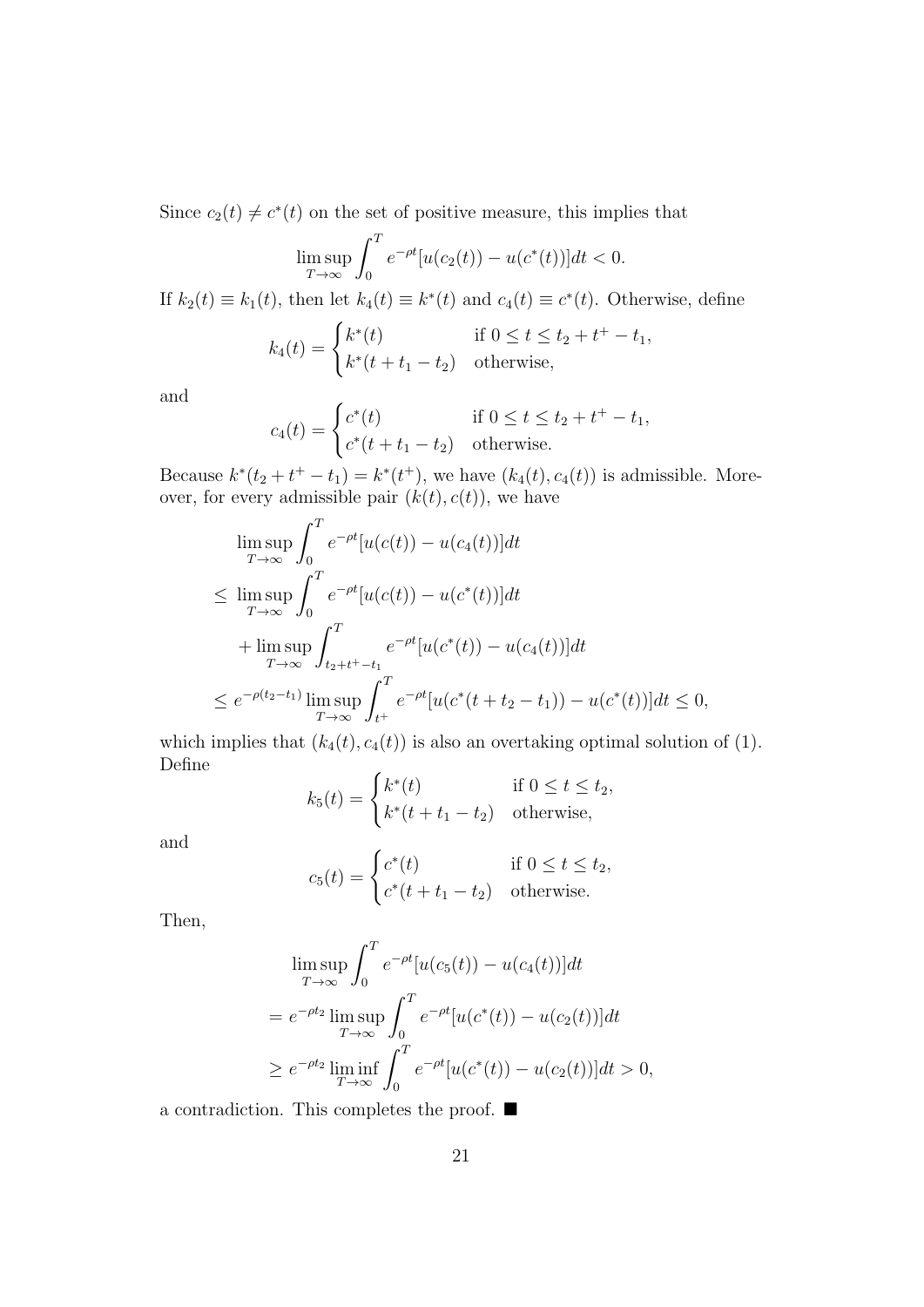Since  $c_2(t) \neq c^*(t)$  on the set of positive measure, this implies that

$$
\limsup_{T \to \infty} \int_0^T e^{-\rho t} [u(c_2(t)) - u(c^*(t))] dt < 0.
$$

If  $k_2(t) \equiv k_1(t)$ , then let  $k_4(t) \equiv k^*(t)$  and  $c_4(t) \equiv c^*(t)$ . Otherwise, define

$$
k_4(t) = \begin{cases} k^*(t) & \text{if } 0 \le t \le t_2 + t^+ - t_1, \\ k^*(t + t_1 - t_2) & \text{otherwise,} \end{cases}
$$

and

$$
c_4(t) = \begin{cases} c^*(t) & \text{if } 0 \le t \le t_2 + t^+ - t_1, \\ c^*(t + t_1 - t_2) & \text{otherwise.} \end{cases}
$$

Because  $k^*(t_2 + t^+ - t_1) = k^*(t^+)$ , we have  $(k_4(t), c_4(t))$  is admissible. Moreover, for every admissible pair  $(k(t), c(t))$ , we have

$$
\limsup_{T \to \infty} \int_0^T e^{-\rho t} [u(c(t)) - u(c_4(t))] dt
$$
\n
$$
\leq \limsup_{T \to \infty} \int_0^T e^{-\rho t} [u(c(t)) - u(c^*(t))] dt
$$
\n
$$
+ \limsup_{T \to \infty} \int_{t_2 + t^* - t_1}^T e^{-\rho t} [u(c^*(t)) - u(c_4(t))] dt
$$
\n
$$
\leq e^{-\rho(t_2 - t_1)} \limsup_{T \to \infty} \int_{t^*}^T e^{-\rho t} [u(c^*(t + t_2 - t_1)) - u(c^*(t))] dt \leq 0,
$$

which implies that  $(k_4(t), c_4(t))$  is also an overtaking optimal solution of (1). Define

$$
k_5(t) = \begin{cases} k^*(t) & \text{if } 0 \le t \le t_2, \\ k^*(t + t_1 - t_2) & \text{otherwise,} \end{cases}
$$

and

$$
c_5(t) = \begin{cases} c^*(t) & \text{if } 0 \le t \le t_2, \\ c^*(t + t_1 - t_2) & \text{otherwise.} \end{cases}
$$

Then,

$$
\limsup_{T \to \infty} \int_0^T e^{-\rho t} [u(c_5(t)) - u(c_4(t))] dt
$$
\n
$$
= e^{-\rho t_2} \limsup_{T \to \infty} \int_0^T e^{-\rho t} [u(c^*(t)) - u(c_2(t))] dt
$$
\n
$$
\geq e^{-\rho t_2} \liminf_{T \to \infty} \int_0^T e^{-\rho t} [u(c^*(t)) - u(c_2(t))] dt > 0,
$$

a contradiction. This completes the proof. ■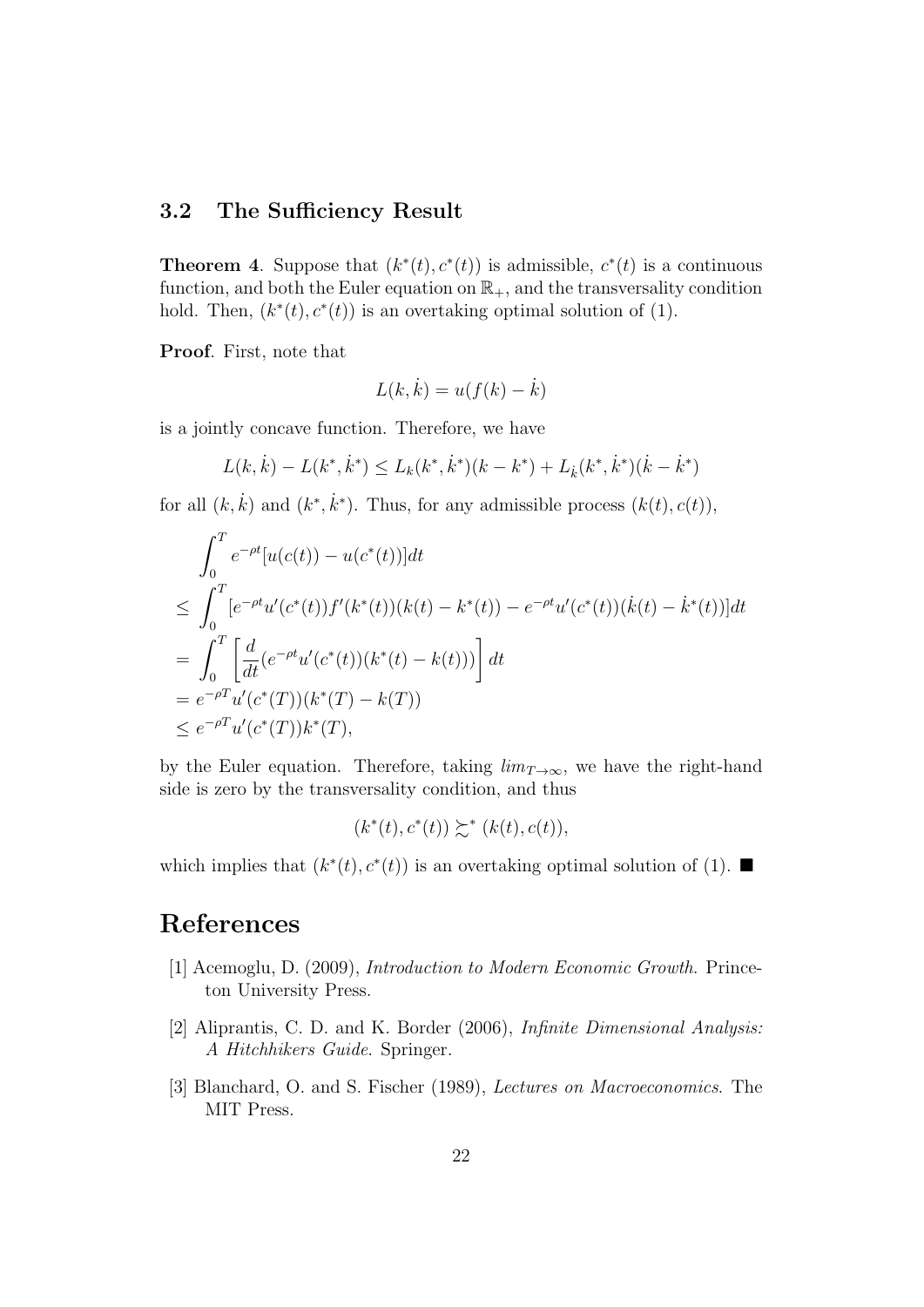### **3.2 The Sufficiency Result**

**Theorem 4.** Suppose that  $(k^*(t), c^*(t))$  is admissible,  $c^*(t)$  is a continuous function, and both the Euler equation on  $\mathbb{R}_+$ , and the transversality condition hold. Then,  $(k^*(t), c^*(t))$  is an overtaking optimal solution of (1).

**Proof**. First, note that

$$
L(k, \dot{k}) = u(f(k) - \dot{k})
$$

is a jointly concave function. Therefore, we have

$$
L(k, \dot{k}) - L(k^*, \dot{k}^*) \le L_k(k^*, \dot{k}^*)(k - k^*) + L_{\dot{k}}(k^*, \dot{k}^*)(\dot{k} - \dot{k}^*)
$$

for all  $(k, k)$  and  $(k^*, k^*)$ . Thus, for any admissible process  $(k(t), c(t))$ ,

$$
\int_0^T e^{-\rho t} [u(c(t)) - u(c^*(t))] dt
$$
\n
$$
\leq \int_0^T [e^{-\rho t} u'(c^*(t)) f'(k^*(t)) (k(t) - k^*(t)) - e^{-\rho t} u'(c^*(t)) (\dot{k}(t) - \dot{k}^*(t))] dt
$$
\n
$$
= \int_0^T \left[ \frac{d}{dt} (e^{-\rho t} u'(c^*(t)) (k^*(t) - k(t))) \right] dt
$$
\n
$$
= e^{-\rho T} u'(c^*(T)) (k^*(T) - k(T))
$$
\n
$$
\leq e^{-\rho T} u'(c^*(T)) k^*(T),
$$

by the Euler equation. Therefore, taking  $\lim_{T\to\infty}$ , we have the right-hand side is zero by the transversality condition, and thus

$$
(k^*(t), c^*(t)) \succsim^* (k(t), c(t)),
$$

which implies that  $(k^*(t), c^*(t))$  is an overtaking optimal solution of (1).

## **References**

- [1] Acemoglu, D. (2009), *Introduction to Modern Economic Growth*. Princeton University Press.
- [2] Aliprantis, C. D. and K. Border (2006), *Infinite Dimensional Analysis: A Hitchhikers Guide*. Springer.
- [3] Blanchard, O. and S. Fischer (1989), *Lectures on Macroeconomics*. The MIT Press.